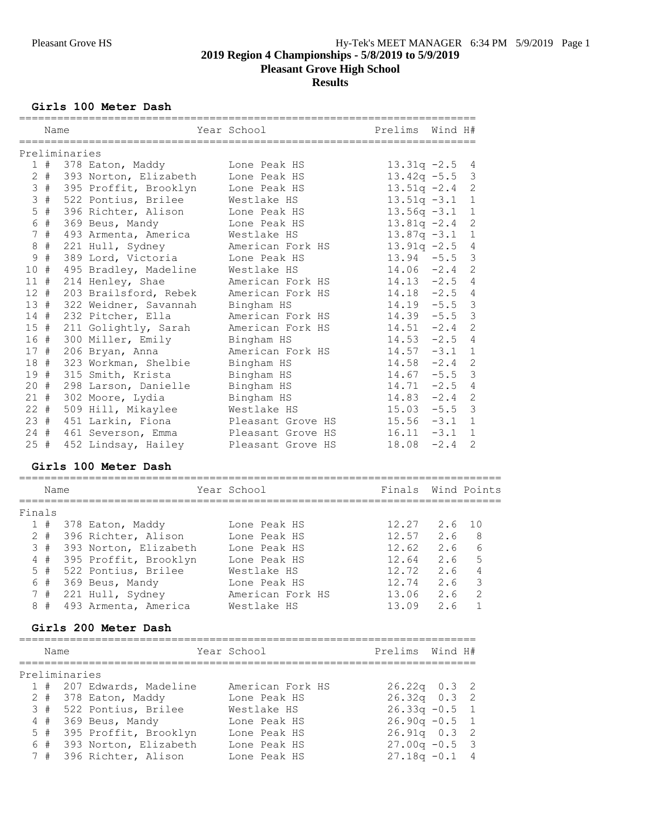# **Girls 100 Meter Dash**

|               | Name |                                         | Year School                           | Prelims Wind H#                |             |                   |
|---------------|------|-----------------------------------------|---------------------------------------|--------------------------------|-------------|-------------------|
| Preliminaries |      |                                         |                                       |                                |             |                   |
|               |      | 1 # 378 Eaton, Maddy                    | Lone Peak HS                          | $13.31q -2.5$                  |             | 4                 |
|               |      | 2 # 393 Norton, Elizabeth Lone Peak HS  |                                       | $13.42q - 5.5$                 |             | 3                 |
|               |      | 3 # 395 Proffit, Brooklyn               | Lone Peak HS                          | $13.51q -2.4$                  |             | $\mathbf{2}$      |
| 3#            |      | 522 Pontius, Brilee                     | Westlake HS                           | $13.51q - 3.1$                 |             | $\mathbf{1}$      |
| $5$ #         |      | 396 Richter, Alison                     | Lone Peak HS                          | $13.56q -3.1$                  |             | $\mathbf{1}$      |
| 6 #           |      | 369 Beus, Mandy                         | Lone Peak HS                          | $13.81q - 2.4$                 |             | 2                 |
| 7#            |      | 493 Armenta, America                    | Westlake HS                           | $13.87q -3.1$                  |             | $\mathbf{1}$      |
| $8 +$         |      | 221 Hull, Sydney                        | American Fork HS                      | $13.91q -2.5$                  |             | $\overline{4}$    |
| 9#            |      | 389 Lord, Victoria                      | Lone Peak HS                          | $13.94 - 5.5$                  |             | $\mathfrak{Z}$    |
| 10#           |      | 495 Bradley, Madeline                   | Westlake HS                           | $14.06 - 2.4$                  |             | 2                 |
| $11$ #        |      | 214 Henley, Shae                        | American Fork HS                      | $14.13 - 2.5$                  |             | 4                 |
| $12$ #        |      | 203 Brailsford, Rebek                   | American Fork HS                      | $14.18 - 2.5$                  |             | 4                 |
| 13#           |      | 322 Weidner, Savannah                   | Bingham HS                            | $14.19 - 5.5$                  |             | $\mathcal{S}$     |
| 14#           |      | 232 Pitcher, Ella                       | American Fork HS                      | $14.39 - 5.5$                  |             | $\mathcal{E}$     |
| 15#           |      | 211 Golightly, Sarah                    | American Fork HS                      | $14.51 - 2.4$                  |             | $\overline{c}$    |
| 16 #          |      | 300 Miller, Emily                       | Bingham HS                            | $14.53 - 2.5$                  |             | $\overline{4}$    |
| 17#           |      | 206 Bryan, Anna                         | American Fork HS                      | $14.57 - 3.1$                  |             | $\mathbf{1}$      |
| 18 #          |      | 323 Workman, Shelbie                    | Bingham HS                            | $14.58 - 2.4$                  |             | $\mathbf{2}$      |
|               |      | 19 # 315 Smith, Krista                  | Bingham HS                            | $14.67 - 5.5$                  |             | $\mathcal{E}$     |
|               |      | 20 # 298 Larson, Danielle               | Bingham HS                            | $14.71 - 2.5$                  |             | $\overline{4}$    |
|               |      | 21 # 302 Moore, Lydia                   |                                       | $14.83 - 2.4$                  |             | $\mathbf{2}$      |
| $22$ #        |      |                                         | Bingham HS<br>Westlake HS             | $15.03 - 5.5$                  |             | 3                 |
| 23#           |      | 509 Hill, Mikaylee<br>451 Larkin, Fiona | Pleasant Grove HS                     | $15.56 - 3.1$                  |             | $\mathbf{1}$      |
|               |      |                                         |                                       |                                |             |                   |
| $24 +$<br>25# |      |                                         | 461 Severson, Emma Pleasant Grove HS  | $16.11 - 3.1$<br>$18.08 - 2.4$ |             | $\mathbf{1}$<br>2 |
|               |      |                                         | 452 Lindsay, Hailey Pleasant Grove HS |                                |             |                   |
|               |      | Girls 100 Meter Dash                    |                                       |                                |             |                   |
|               | Name |                                         | Year School                           | Finals                         | Wind Points |                   |
| Finals        |      |                                         |                                       |                                |             |                   |
|               |      | 1 # 378 Eaton, Maddy                    | Lone Peak HS                          | 12.27                          | 2.6         | 10                |
|               |      | 2 # 396 Richter, Alison Lone Peak HS    |                                       | 12.57                          | 2.6         | 8                 |
|               |      | 3 # 393 Norton, Elizabeth               | Lone Peak HS                          | 12.62                          | 2.6         | 6                 |
|               |      | 4 # 395 Proffit, Brooklyn               | Lone Peak HS                          | 12.64                          | 2.6         | 5                 |
|               |      | 5 # 522 Pontius, Brilee                 | Westlake HS                           | 12.72                          | 2.6         | $\overline{4}$    |
| 6 #           |      | 369 Beus, Mandy                         | Lone Peak HS                          | 12.74                          | 2.6         | 3                 |
| 7#            |      | 221 Hull, Sydney                        | American Fork HS                      | 13.06                          | 2.6         | 2                 |
|               |      | 8 # 493 Armenta, America                | Westlake HS                           | 13.09                          | 2.6         | 1                 |
|               |      | Girls 200 Meter Dash                    |                                       |                                |             |                   |
|               | Name |                                         | Year School                           | Prelims Wind H#                |             |                   |
|               |      |                                         |                                       |                                |             |                   |
| Preliminaries |      |                                         |                                       |                                |             |                   |
| 1#            |      | 207 Edwards, Madeline                   | American Fork HS                      | $26.22q$ 0.3                   |             | 2                 |
|               |      | 2 # 378 Eaton, Maddy                    | Lone Peak HS                          | $26.32q$ 0.3                   |             | 2                 |
|               |      | 3 # 522 Pontius, Brilee                 | Westlake HS                           | $26.33q -0.5$                  |             | $1\,$             |
| $4$ #         |      | 369 Beus, Mandy                         | Lone Peak HS                          | $26.90q -0.5$                  |             | $\mathbf{1}$      |
| $5$ #         |      | 395 Proffit, Brooklyn                   | Lone Peak HS                          | $26.91q$ 0.3                   |             | 2                 |
| 6             |      | # 393 Norton, Elizabeth                 | Lone Peak HS                          | $27.00q -0.5$                  |             | 3                 |
|               |      | 7 # 396 Richter, Alison                 | Lone Peak HS                          | $27.18q - 0.1$                 |             | 4                 |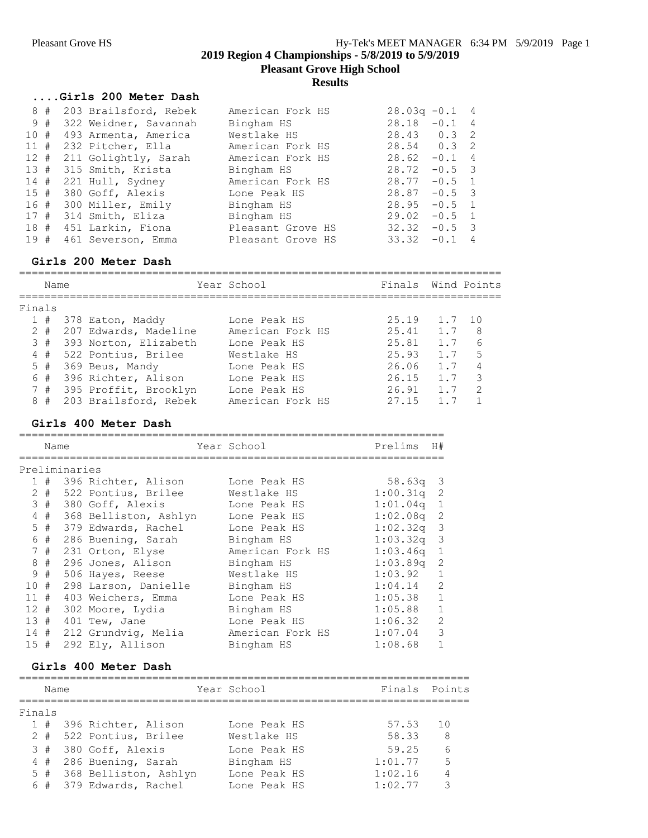**Pleasant Grove High School**

### **Results**

## **....Girls 200 Meter Dash**

| 8<br>#   | 203 Brailsford, Rebek | American Fork HS  | $28.03q - 0.1$ 4                  |
|----------|-----------------------|-------------------|-----------------------------------|
| 9#       | 322 Weidner, Savannah | Bingham HS        | 28.18<br>$-0.1$<br>$\overline{4}$ |
| 10 #     | 493 Armenta, America  | Westlake HS       | $28.43$ 0.3<br>$\overline{2}$     |
| 11#      | 232 Pitcher, Ella     | American Fork HS  | $28.54$ 0.3 2                     |
| $12 \pm$ | 211 Golightly, Sarah  | American Fork HS  | $-0.1$ 4<br>28.62                 |
| 13#      | 315 Smith, Krista     | Bingham HS        | 28.72<br>$-0.5$ 3                 |
| 14#      | 221 Hull, Sydney      | American Fork HS  | 28.77<br>$-0.5$ 1                 |
| 15#      | 380 Goff, Alexis      | Lone Peak HS      | $28.87 - 0.5$ 3                   |
| 16#      | 300 Miller, Emily     | Bingham HS        | 28.95<br>$-0.5$ 1                 |
| 17#      | 314 Smith, Eliza      | Bingham HS        | $-0.5$ 1<br>29.02                 |
| 18 #     | 451 Larkin, Fiona     | Pleasant Grove HS | 32.32<br>$-0.5$ 3                 |
| 19#      | 461 Severson, Emma    | Pleasant Grove HS | 33.32<br>$-0.1$<br>$\overline{4}$ |

## **Girls 200 Meter Dash**

|        | Name   |                       | Year School      | Finals |        | Wind Points   |
|--------|--------|-----------------------|------------------|--------|--------|---------------|
| Finals |        |                       |                  |        |        |               |
|        | 1#     | 378 Eaton, Maddy      | Lone Peak HS     | 25.19  | 1.7 10 |               |
|        | $2 +$  | 207 Edwards, Madeline | American Fork HS | 25.41  | 1.7    | -8            |
|        | 3#     | 393 Norton, Elizabeth | Lone Peak HS     | 25.81  | 1 7    | 6             |
|        | 4#     | 522 Pontius, Brilee   | Westlake HS      | 25.93  | 1 7    | 5             |
|        | $5 \#$ | 369 Beus, Mandy       | Lone Peak HS     | 26.06  | 1 7    | 4             |
|        | 6#     | 396 Richter, Alison   | Lone Peak HS     | 26.15  | 1.7    | 3             |
|        | 7#     | 395 Proffit, Brooklyn | Lone Peak HS     | 26.91  | 1 7    | $\mathcal{P}$ |
|        | 8#     | 203 Brailsford, Rebek | American Fork HS | 27 15  |        |               |

### **Girls 400 Meter Dash**

|     | Name  |               |                       | Year School      | Prelims     | H#            |
|-----|-------|---------------|-----------------------|------------------|-------------|---------------|
|     |       | Preliminaries |                       |                  |             |               |
|     | 1#    |               | 396 Richter, Alison   | Lone Peak HS     | 58.63a      | -3            |
|     | $2 +$ |               | 522 Pontius, Brilee   | Westlake HS      | 1:00.31q    | -2            |
| 3   | #     |               | 380 Goff, Alexis      | Lone Peak HS     | 1:01.04q    | 1             |
| 4   | #     |               | 368 Belliston, Ashlyn | Lone Peak HS     | 1:02.08q    | -2            |
|     | $5$ # |               | 379 Edwards, Rachel   | Lone Peak HS     | 1:02.32q    | -3            |
| 6   | #     |               | 286 Buening, Sarah    | Bingham HS       | 1:03.32q    | -3            |
|     | 7#    |               | 231 Orton, Elyse      | American Fork HS | 1:03.46q    | 1             |
| 8   | #     |               | 296 Jones, Alison     | Bingham HS       | $1:03.89$ q | -2            |
| 9   | #     |               | 506 Hayes, Reese      | Westlake HS      | 1:03.92     |               |
| 10# |       |               | 298 Larson, Danielle  | Bingham HS       | 1:04.14     | 2             |
| 11  | #     |               | 403 Weichers, Emma    | Lone Peak HS     | 1:05.38     |               |
| 12  | #     |               | 302 Moore, Lydia      | Bingham HS       | 1:05.88     |               |
| 13# |       |               | 401 Tew, Jane         | Lone Peak HS     | 1:06.32     | $\mathcal{L}$ |
| 14# |       |               | 212 Grundvig, Melia   | American Fork HS | 1:07.04     | 3             |
| 15# |       |               | 292 Ely, Allison      | Bingham HS       | 1:08.68     |               |

### **Girls 400 Meter Dash**

#### ======================================================================= Finals Points

| Finals |                           |              |         |         |
|--------|---------------------------|--------------|---------|---------|
|        | 1 # 396 Richter, Alison   | Lone Peak HS | 57.53   | 10      |
|        | 2 # 522 Pontius, Brilee   | Westlake HS  | 58.33   | -8      |
|        | 3 # 380 Goff, Alexis      | Lone Peak HS | 59.25   | $6^{6}$ |
|        | 4 # 286 Buening, Sarah    | Bingham HS   | 1:01.77 | 5       |
|        | 5 # 368 Belliston, Ashlyn | Lone Peak HS | 1:02.16 | 4       |
|        | 6 # 379 Edwards, Rachel   | Lone Peak HS | 1:02.77 | 3       |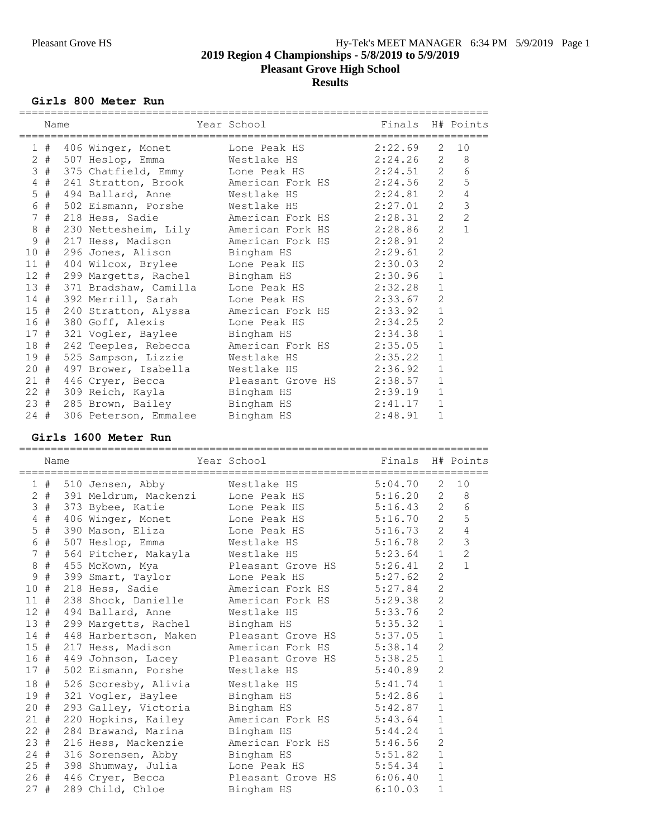**Pleasant Grove High School**

## **Results**

### **Girls 800 Meter Run**

|                 | Name  |                                                           | Year School <b>Sand</b> | Finals H# Points |                |                      |
|-----------------|-------|-----------------------------------------------------------|-------------------------|------------------|----------------|----------------------|
|                 |       |                                                           |                         |                  |                |                      |
|                 |       | 1 # 406 Winger, Monet Lone Peak HS 2:22.69                |                         |                  | 2              | 10                   |
|                 |       | 2 # 507 Heslop, Emma Westlake HS 2:24.26 2                |                         |                  |                | 8<br>$6\phantom{1}6$ |
|                 | 3#    | 375 Chatfield, Emmy Lone Peak HS 2:24.51 2                |                         |                  |                | 5                    |
| $4\overline{ }$ | #     | 241 Stratton, Brook Merican Fork HS 2:24.56 2             |                         |                  |                |                      |
|                 | $5$ # | 494 Ballard, Anne Mestlake HS 2:24.81 2                   |                         |                  |                | $\sqrt{4}$           |
|                 | 6 #   | 502 Eismann, Porshe Westlake HS 2:27.01 2                 |                         |                  |                | $\mathfrak{Z}$       |
| $7\phantom{.0}$ | #     | 218 Hess, Sadie         American Fork HS       2:28.31    |                         |                  | 2              | $\overline{c}$       |
|                 | $8$ # | 230 Nettesheim, Lily American Fork HS 2:28.86             |                         |                  | 2              |                      |
| 9               | #     | 217 Hess, Madison Merican Fork HS 2:28.91                 |                         |                  | 2              |                      |
| 10#             |       | 296 Jones, Alison Bingham HS 2:29.61                      |                         |                  | $\overline{2}$ |                      |
| 11#             |       | 404 Wilcox, Brylee Lone Peak HS 2:30.03                   |                         |                  | $\overline{c}$ |                      |
|                 | 12#   | 299 Margetts, Rachel Bingham HS                           |                         | 2:30.96          | $\mathbf{1}$   |                      |
|                 |       | 13 # 371 Bradshaw, Camilla Lone Peak HS 2:32.28           |                         |                  | $\mathbf{1}$   |                      |
|                 |       | 14 # 392 Merrill, Sarah Mone Peak HS 2:33.67              |                         |                  | $\overline{c}$ |                      |
|                 |       | 15 # 240 Stratton, Alyssa Merican Fork HS 2:33.92         |                         |                  | $\mathbf{1}$   |                      |
|                 |       | 16 # 380 Goff, Alexis Lone Peak HS 2:34.25                |                         |                  | $\overline{2}$ |                      |
|                 |       | 17 # 321 Vogler, Baylee Bingham HS                        |                         | 2:34.38          | $\mathbf{1}$   |                      |
| 18 #            |       | 242 Teeples, Rebecca Merican Fork HS 2:35.05              |                         |                  | $\mathbf{1}$   |                      |
| 19#             |       | 525 Sampson, Lizzie Westlake HS 2:35.22                   |                         |                  | $\mathbf{1}$   |                      |
| $20 +$          |       | 497 Brower, Isabella Westlake HS 2:36.92                  |                         |                  | $\mathbf{1}$   |                      |
| 21#             |       | 446 Cryer, Becca Pleasant Grove HS 2:38.57                |                         |                  | $\mathbf{1}$   |                      |
| $22 +$          |       | 309 Reich, Kayla         Bingham HS               2:39.19 |                         |                  | $\mathbf{1}$   |                      |
| 23#             |       | 285 Brown, Bailey Bingham HS 2:41.17                      |                         |                  | $\mathbf{1}$   |                      |
|                 |       | 306 Peterson, Emmalee Bingham HS 2:48.91                  |                         |                  | $\mathbf{1}$   |                      |
| $24$ #          |       |                                                           |                         |                  |                |                      |

### **Girls 1600 Meter Run**

==========================================================================

| Name   |                                | Year School                                          | Finals H# Points |                |                |
|--------|--------------------------------|------------------------------------------------------|------------------|----------------|----------------|
|        |                                | 1 # 510 Jensen, Abby Westlake HS 5:04.70             |                  | 2              | 10             |
|        | 2 # 391 Meldrum, Mackenzi      | Lone Peak HS 5:16.20 2 8                             |                  |                |                |
| 3#     | 373 Bybee, Katie               | Lone Peak HS 5:16.43 2                               |                  |                | $6\,$          |
|        |                                | 4 # 406 Winger, Monet Lone Peak HS 5:16.70 2         |                  |                | 5              |
| $5$ #  |                                | 390 Mason, Eliza Lone Peak HS 5:16.73                |                  | $2^{\circ}$    | $\sqrt{4}$     |
| 6 #    |                                | 507 Heslop, Emma Westlake HS 5:16.78                 |                  | $2^{\circ}$    | $\mathfrak{Z}$ |
| 7#     |                                | 564 Pitcher, Makayla Westlake HS 5:23.64 1           |                  |                | $\overline{2}$ |
|        |                                | 8 # 455 McKown, Mya Pleasant Grove HS 5:26.41        |                  | $\overline{2}$ | $\mathbf{1}$   |
| 9#     |                                | 399 Smart, Taylor Lone Peak HS 5:27.62               |                  | $\overline{2}$ |                |
|        |                                | 10 # 218 Hess, Sadie Merican Fork HS 5:27.84         |                  | $\overline{2}$ |                |
|        |                                | 11 # 238 Shock, Danielle American Fork HS 5:29.38    |                  | $\overline{c}$ |                |
|        |                                | 12 # 494 Ballard, Anne Westlake HS 5:33.76           |                  | 2              |                |
|        |                                | 13 # 299 Margetts, Rachel Bingham HS 5:35.32         |                  | $\mathbf{1}$   |                |
|        |                                | 14 # 448 Harbertson, Maken Pleasant Grove HS 5:37.05 |                  | $\mathbf{1}$   |                |
|        |                                | 15 # 217 Hess, Madison Mmerican Fork HS 5:38.14      |                  | 2              |                |
|        |                                | 16 # 449 Johnson, Lacey Pleasant Grove HS 5:38.25    |                  | $1\,$          |                |
|        | 17 # 502 Eismann, Porshe       | Westlake HS 5:40.89                                  |                  | 2              |                |
| 18 #   | 526 Scoresby, Alivia           | Westlake HS 5:41.74                                  |                  | $\mathbf{1}$   |                |
| 19 #   |                                | 321 Vogler, Baylee Bingham HS 5:42.86                |                  | $\mathbf{1}$   |                |
| $20 +$ |                                | 293 Galley, Victoria Bingham HS 5:42.87              |                  | $\mathbf{1}$   |                |
| $21$ # | 220 Hopkins, Kailey            | American Fork HS 5:43.64                             |                  | $\mathbf{1}$   |                |
| $22 +$ | 284 Brawand, Marina Bingham HS |                                                      | 5:44.24          | $\mathbf{1}$   |                |
|        |                                | 23 # 216 Hess, Mackenzie Mmerican Fork HS 5:46.56    |                  | 2              |                |
|        |                                | 24 # 316 Sorensen, Abby Bingham HS 5:51.82           |                  | $\mathbf{1}$   |                |
|        |                                | 25 # 398 Shumway, Julia bone Peak HS 5:54.34         |                  | $\mathbf{1}$   |                |
|        |                                | 26 # 446 Cryer, Becca Pleasant Grove HS 6:06.40 1    |                  |                |                |
| 27#    |                                | 289 Child, Chloe Bingham HS 6:10.03                  |                  | $\mathbf{1}$   |                |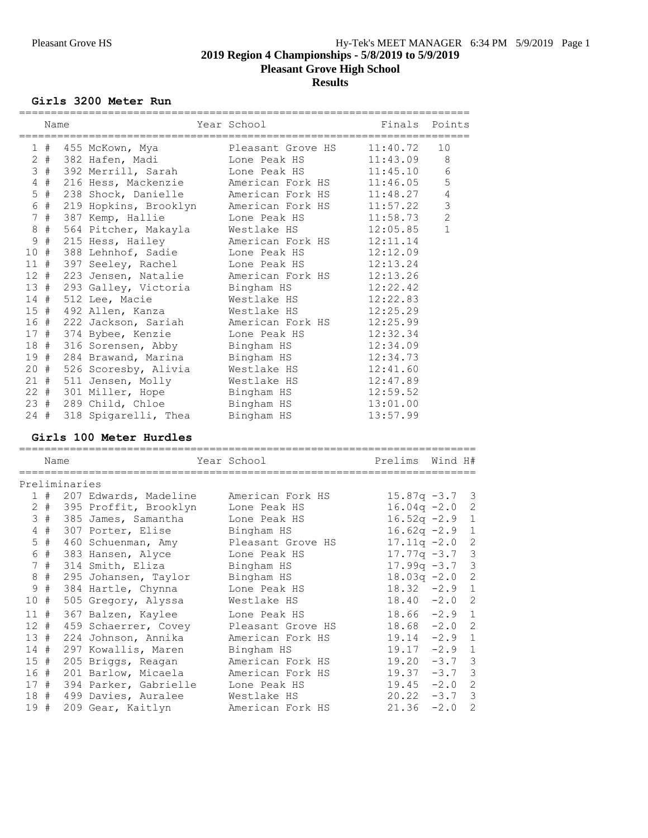**Pleasant Grove High School**

**Results**

### **Girls 3200 Meter Run**

|                | Name |                                    | Year School<br>-------------                  | Finals Points |                |
|----------------|------|------------------------------------|-----------------------------------------------|---------------|----------------|
|                |      |                                    | 1 # 455 McKown, Mya         Pleasant Grove HS | 11:40.72      | 10             |
|                |      |                                    | 2 # 382 Hafen, Madi Mone Peak HS              | 11:43.09      | 8              |
|                |      |                                    | 3 # 392 Merrill, Sarah Lone Peak HS           | 11:45.10      | $6\,$          |
|                |      |                                    | 4 # 216 Hess, Mackenzie Merican Fork HS       | 11:46.05      | 5              |
|                |      |                                    | 5 # 238 Shock, Danielle American Fork HS      | 11:48.27      | $\sqrt{4}$     |
|                |      |                                    | 6 # 219 Hopkins, Brooklyn Merican Fork HS     | 11:57.22      | 3              |
| 7 <sup>7</sup> | #    |                                    | 387 Kemp, Hallie Kone Peak HS                 | 11:58.73      | $\overline{c}$ |
| $8\,$          | #    | 564 Pitcher, Makayla               | Westlake HS                                   | 12:05.85      | $\mathbf{1}$   |
| 9              |      |                                    | # 215 Hess, Hailey Merican Fork HS            | 12:11.14      |                |
|                |      |                                    | 10 # 388 Lehnhof, Sadie Lone Peak HS          | 12:12.09      |                |
|                |      |                                    | 11 # 397 Seeley, Rachel Lone Peak HS          | 12:13.24      |                |
|                |      |                                    | 12 # 223 Jensen, Natalie Merican Fork HS      | 12:13.26      |                |
|                |      |                                    | 13 # 293 Galley, Victoria Bingham HS          | 12:22.42      |                |
|                |      | 14 # 512 Lee, Macie                | Westlake HS                                   | 12:22.83      |                |
|                |      |                                    | 15 # 492 Allen, Kanza Mestlake HS             | 12:25.29      |                |
|                | 16 # |                                    | 222 Jackson, Sariah Merican Fork HS           | 12:25.99      |                |
|                |      |                                    | 17 # 374 Bybee, Kenzie       Lone Peak HS     | 12:32.34      |                |
|                | 18 # |                                    | 316 Sorensen, Abby Bingham HS                 | 12:34.09      |                |
|                |      |                                    | 19 # 284 Brawand, Marina Bingham HS           | 12:34.73      |                |
|                |      |                                    | 20 # 526 Scoresby, Alivia Westlake HS         | 12:41.60      |                |
|                |      | 21 # 511 Jensen, Molly Westlake HS |                                               | 12:47.89      |                |
|                |      |                                    | 22 # 301 Miller, Hope Bingham HS              | 12:59.52      |                |
|                |      |                                    | 23 # 289 Child, Chloe Bingham HS              | 13:01.00      |                |
|                | 24#  | 318 Spigarelli, Thea Bingham HS    |                                               | 13:57.99      |                |
|                |      |                                    |                                               |               |                |

# **Girls 100 Meter Hurdles**

|        | Name  |               |                            | Year School       | Prelims Wind H# |          |                |
|--------|-------|---------------|----------------------------|-------------------|-----------------|----------|----------------|
|        |       | Preliminaries |                            |                   |                 |          |                |
|        |       |               | 1 # 207 Edwards, Madeline  | American Fork HS  | $15.87q -3.7$ 3 |          |                |
|        |       |               | 2 # 395 Proffit, Brooklyn  | Lone Peak HS      | $16.04q -2.0$   |          | -2             |
|        | 3#    |               | 385 James, Samantha        | Lone Peak HS      | $16.52q -2.9$   |          | $\mathbf 1$    |
|        | $4$ # |               | 307 Porter, Elise          | Bingham HS        | $16.62q -2.9$   |          | $\mathbf{1}$   |
|        | $5$ # |               | 460 Schuenman, Amy         | Pleasant Grove HS | $17.11q - 2.0$  |          | $\overline{2}$ |
|        | 6 #   |               | 383 Hansen, Alyce          | Lone Peak HS      | $17.77q -3.7$ 3 |          |                |
|        | 7#    |               | 314 Smith, Eliza           | Bingham HS        | $17.99q -3.7$ 3 |          |                |
|        | 8#    |               | 295 Johansen, Taylor       | Bingham HS        | $18.03q - 2.0$  |          | $\overline{2}$ |
|        | 9#    |               | 384 Hartle, Chynna         | Lone Peak HS      | $18.32 - 2.9$   |          | $\mathbf{1}$   |
| 10#    |       |               | 505 Gregory, Alyssa        | Westlake HS       | $18.40 -2.0$ 2  |          |                |
| 11#    |       |               | 367 Balzen, Kaylee         | Lone Peak HS      | $18.66 - 2.9$   |          | $\mathbf{1}$   |
| $12$ # |       |               | 459 Schaerrer, Covey       | Pleasant Grove HS | 18.68           | $-2.0$   | $\overline{c}$ |
| 13#    |       |               | 224 Johnson, Annika        | American Fork HS  | $19.14 -2.9$ 1  |          |                |
| 14#    |       |               | 297 Kowallis, Maren        | Bingham HS        | $19.17 - 2.9$   |          | $\mathbf{1}$   |
| 15#    |       |               | 205 Briggs, Reagan         | American Fork HS  | $19.20 -3.7$ 3  |          |                |
| 16#    |       |               | 201 Barlow, Micaela        | American Fork HS  | $19.37 - 3.7$ 3 |          |                |
|        |       |               | 17 # 394 Parker, Gabrielle | Lone Peak HS      | $19.45 -2.0$ 2  |          |                |
| 18 #   |       |               | 499 Davies, Auralee        | Westlake HS       | $20.22 -3.7$ 3  |          |                |
| 19#    |       |               | 209 Gear, Kaitlyn          | American Fork HS  | 21.36           | $-2.0$ 2 |                |
|        |       |               |                            |                   |                 |          |                |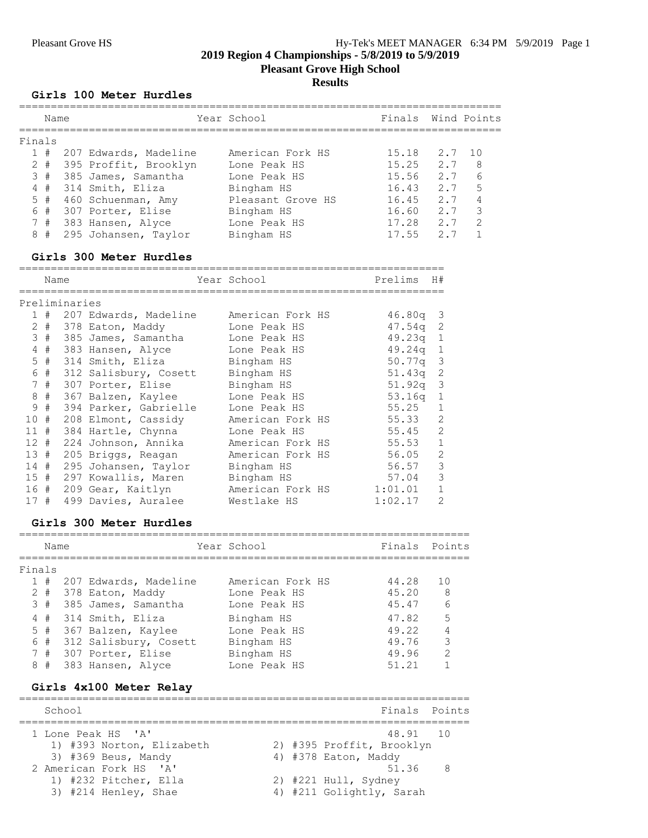# Pleasant Grove HS Hy-Tek's MEET MANAGER 6:34 PM 5/9/2019 Page 1

**2019 Region 4 Championships - 5/8/2019 to 5/9/2019**

**Pleasant Grove High School**

## **Results**

### **Girls 100 Meter Hurdles**

|   |                                                          |      |                                                                                                                                                                                                        | Finals      |     | Wind Points   |
|---|----------------------------------------------------------|------|--------------------------------------------------------------------------------------------------------------------------------------------------------------------------------------------------------|-------------|-----|---------------|
|   |                                                          |      |                                                                                                                                                                                                        |             |     |               |
|   |                                                          |      | American Fork HS                                                                                                                                                                                       | 15.18       |     | 10            |
|   |                                                          |      | Lone Peak HS                                                                                                                                                                                           | 15.25       | 2.7 | 8             |
|   |                                                          |      | Lone Peak HS                                                                                                                                                                                           | 15.56       | 2.7 | 6             |
|   |                                                          |      | Bingham HS                                                                                                                                                                                             | 16.43       | 2.7 | 5             |
|   |                                                          |      | Pleasant Grove HS                                                                                                                                                                                      | 16.45       | 2.7 |               |
|   |                                                          |      | Bingham HS                                                                                                                                                                                             | 16.60       | 2.7 | 3             |
|   |                                                          |      | Lone Peak HS                                                                                                                                                                                           | 17.28       | 2.7 | $\mathcal{P}$ |
| # |                                                          |      | Bingham HS                                                                                                                                                                                             | 17.55       | 2.7 |               |
|   | Finals<br>1#<br>$2 +$<br>3#<br>4#<br>5#<br>6#<br>7#<br>8 | Name | TOO HELET HUTGIES<br>207 Edwards, Madeline<br>395 Proffit, Brooklyn<br>385 James, Samantha<br>314 Smith, Eliza<br>460 Schuenman, Amy<br>307 Porter, Elise<br>383 Hansen, Alyce<br>295 Johansen, Taylor | Year School |     | 2.7           |

### **Girls 300 Meter Hurdles**

|     | Name  |               |                       | Year School Theory | Prelims<br>H#      |                          |
|-----|-------|---------------|-----------------------|--------------------|--------------------|--------------------------|
|     |       | Preliminaries |                       |                    |                    |                          |
|     | 1#    |               | 207 Edwards, Madeline | American Fork HS   | $46.80q$ 3         |                          |
|     | 2 #   |               | 378 Eaton, Maddy      | Lone Peak HS       | $47.54q$ 2         |                          |
|     | 3#    |               | 385 James, Samantha   | Lone Peak HS       | $49.23q$ 1         |                          |
| 4   | #     |               | 383 Hansen, Alyce     | Lone Peak HS       | $49.24q$ 1         |                          |
|     | $5$ # |               | 314 Smith, Eliza      | Bingham HS         | 50.77q 3           |                          |
| 6   | #     |               | 312 Salisbury, Cosett | Bingham HS         | 51.43 <sub>q</sub> | $\overline{\phantom{2}}$ |
|     | 7#    |               | 307 Porter, Elise     | Bingham HS         | $51.92q$ 3         |                          |
|     | 8#    |               | 367 Balzen, Kaylee    | Lone Peak HS       | $53.16q$ 1         |                          |
| 9   | #     |               | 394 Parker, Gabrielle | Lone Peak HS       | 55.25              | $\mathbf{1}$             |
| 10  | #     |               | 208 Elmont, Cassidy   | American Fork HS   | 55.33              | 2                        |
| 11# |       |               | 384 Hartle, Chynna    | Lone Peak HS       | 55.45              | 2                        |
|     | 12#   |               | 224 Johnson, Annika   | American Fork HS   | 55.53              | $\mathbf{1}$             |
| 13# |       |               | 205 Briggs, Reagan    | American Fork HS   | 56.05              | 2                        |
| 14# |       |               | 295 Johansen, Taylor  | Bingham HS         | 56.57              | 3                        |
|     | 15#   |               | 297 Kowallis, Maren   | Bingham HS         | 57.04              | 3                        |
|     | 16 #  |               | 209 Gear, Kaitlyn     | American Fork HS   | 1:01.01            | $\mathbf{1}$             |
| 17# |       |               | 499 Davies, Auralee   | Westlake HS        | 1:02.17            | $\overline{2}$           |

### **Girls 300 Meter Hurdles**

|        | Name      |                       | Year School      | Finals | Points         |
|--------|-----------|-----------------------|------------------|--------|----------------|
| Finals |           |                       |                  |        |                |
|        | 1#        | 207 Edwards, Madeline | American Fork HS | 44.28  | 10             |
|        | $2 \pm 1$ | 378 Eaton, Maddy      | Lone Peak HS     | 45.20  | -8             |
|        | 3#        | 385 James, Samantha   | Lone Peak HS     | 45.47  | 6              |
|        | 4#        | 314 Smith, Eliza      | Bingham HS       | 47.82  | .5             |
|        | $5$ #     | 367 Balzen, Kaylee    | Lone Peak HS     | 49.22  | $\overline{4}$ |
|        | 6#        | 312 Salisbury, Cosett | Bingham HS       | 49.76  | 3              |
|        | 7#        | 307 Porter, Elise     | Bingham HS       | 49.96  | $\mathcal{L}$  |
|        | 8#        | 383 Hansen, Alyce     | Lone Peak HS     | 51.21  |                |

# **Girls 4x100 Meter Relay**

| School                    | Finals Points             |
|---------------------------|---------------------------|
| 1 Lone Peak HS 'A'        | 48.91 10                  |
| 1) #393 Norton, Elizabeth | 2) #395 Proffit, Brooklyn |
| $3)$ #369 Beus, Mandy     | 4) #378 Eaton, Maddy      |
| 2 American Fork HS 'A'    | 51.36 8                   |
| 1) #232 Pitcher, Ella     | 2) #221 Hull, Sydney      |
| $3)$ #214 Henley, Shae    | 4) #211 Golightly, Sarah  |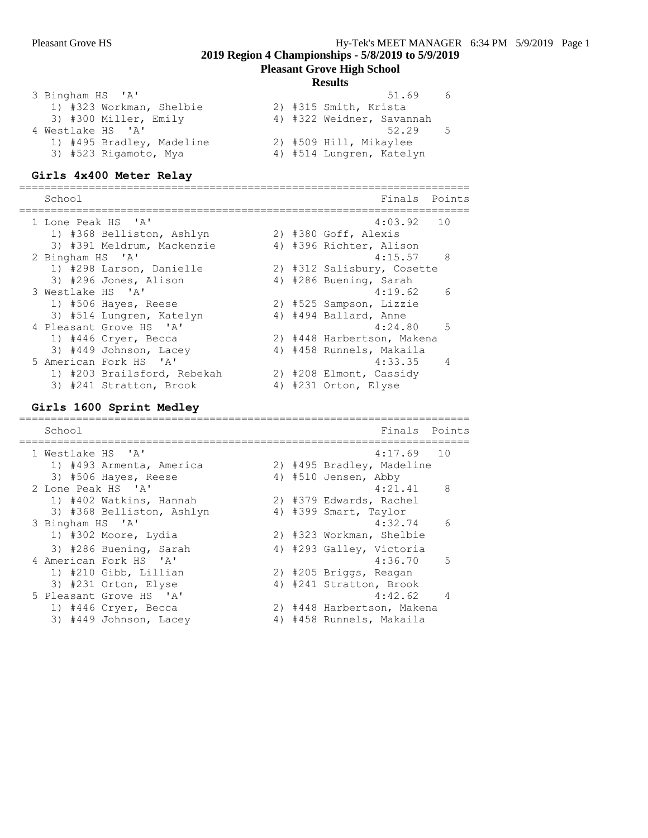### **Pleasant Grove High School**

### **Results**

| 3 Bingham HS 'A'          |  | 51.69 | 6                                                                                                        |
|---------------------------|--|-------|----------------------------------------------------------------------------------------------------------|
| 1) #323 Workman, Shelbie  |  |       |                                                                                                          |
| 3) #300 Miller, Emily     |  |       |                                                                                                          |
| 4 Westlake HS 'A'         |  | 52.29 | -5                                                                                                       |
| 1) #495 Bradley, Madeline |  |       |                                                                                                          |
| 3) #523 Rigamoto, Mya     |  |       |                                                                                                          |
|                           |  |       | 2) #315 Smith, Krista<br>4) #322 Weidner, Savannah<br>2) #509 Hill, Mikaylee<br>4) #514 Lungren, Katelyn |

### **Girls 4x400 Meter Relay**

======================================================================= School **Finals** Points ======================================================================= 1 Lone Peak HS 'A' 4:03.92 10 1) #368 Belliston, Ashlyn 2) #380 Goff, Alexis 3) #391 Meldrum, Mackenzie 4) #396 Richter, Alison 2 Bingham HS 'A' 4:15.57 8 1) #298 Larson, Danielle 2) #312 Salisbury, Cosette 3) #296 Jones, Alison 4) #286 Buening, Sarah 3 Westlake HS 'A' 4:19.62 6 1) #506 Hayes, Reese 2) #525 Sampson, Lizzie 3) #514 Lungren, Katelyn 4) #494 Ballard, Anne 4 Pleasant Grove HS 'A' 4:24.80 5 1) #446 Cryer, Becca 2) #448 Harbertson, Makena 3) #449 Johnson, Lacey 4) #458 Runnels, Makaila 5 American Fork HS 'A' 4:33.35 4 1) #203 Brailsford, Rebekah 2) #208 Elmont, Cassidy 3) #241 Stratton, Brook 4) #231 Orton, Elyse

### **Girls 1600 Sprint Medley**

| School                    |  | Finals Points              |                 |
|---------------------------|--|----------------------------|-----------------|
| 1 Westlake HS 'A'         |  | $4:17.69$ 10               |                 |
| 1) #493 Armenta, America  |  | 2) #495 Bradley, Madeline  |                 |
| 3) #506 Hayes, Reese      |  | 4) #510 Jensen, Abby       |                 |
| 2 Lone Peak HS 'A'        |  | $4:21.41$ 8                |                 |
| 1) #402 Watkins, Hannah   |  | 2) #379 Edwards, Rachel    |                 |
| 3) #368 Belliston, Ashlyn |  | 4) #399 Smart, Taylor      |                 |
| 3 Bingham HS 'A'          |  | 4:32.74                    | $6\overline{6}$ |
| 1) #302 Moore, Lydia      |  | 2) #323 Workman, Shelbie   |                 |
| 3) #286 Buening, Sarah    |  | 4) #293 Galley, Victoria   |                 |
| 4 American Fork HS 'A'    |  | $4:36.70$ 5                |                 |
| 1) #210 Gibb, Lillian     |  | 2) #205 Briggs, Reagan     |                 |
| 3) #231 Orton, Elyse      |  | 4) #241 Stratton, Brook    |                 |
| 5 Pleasant Grove HS 'A'   |  | 4:42.62                    | $\overline{4}$  |
| 1) #446 Cryer, Becca      |  | 2) #448 Harbertson, Makena |                 |
| 3) #449 Johnson, Lacey    |  | 4) #458 Runnels, Makaila   |                 |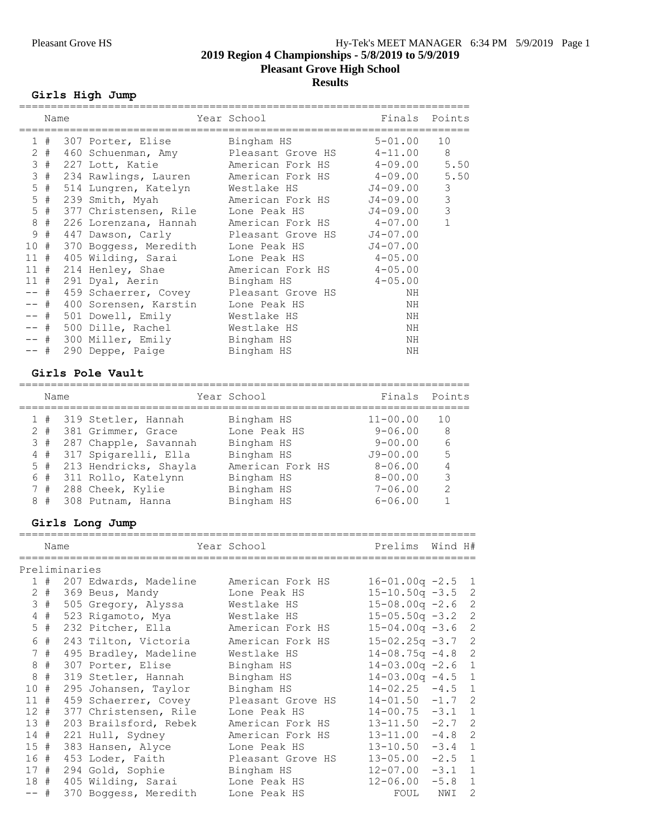**Pleasant Grove High School**

# **Results**

# **Girls High Jump**

|        | Name    |                                                 | Year School and the School and the School<br>--------------- |              | Finals Points  |
|--------|---------|-------------------------------------------------|--------------------------------------------------------------|--------------|----------------|
|        | 1#      | 307 Porter, Elise             Bingham HS        |                                                              | $5 - 01.00$  | 10             |
|        | $2 \pm$ | 460 Schuenman, Amy Pleasant Grove HS 4-11.00    |                                                              |              | 8              |
|        | 3#      | 227 Lott, Katie                                 | American Fork HS 4-09.00                                     |              | 5.50           |
| 3      | #       | 234 Rawlings, Lauren Menerican Fork HS 4-09.00  |                                                              |              | 5.50           |
|        | $5$ #   | 514 Lungren, Katelyn Mestlake HS                |                                                              | J4-09.00     | 3              |
|        | $5$ #   | 239 Smith, Myah Mamerican Fork HS               |                                                              | J4-09.00     | $\mathfrak{Z}$ |
| 5      | #       | 377 Christensen, Rile Lone Peak HS              |                                                              | J4-09.00     | $\mathcal{S}$  |
| 8      | #       | 226 Lorenzana, Hannah Mamerican Fork HS 4-07.00 |                                                              |              |                |
| 9      | #       | 447 Dawson, Carly       Pleasant Grove HS       |                                                              | $J4 - 07.00$ |                |
| 10#    |         | 370 Boggess, Meredith Lone Peak HS              |                                                              | $J4 - 07.00$ |                |
|        |         | 11 # 405 Wilding, Sarai                         | Lone Peak HS 4-05.00                                         |              |                |
|        |         | 11 # 214 Henley, Shae Merican Fork HS 4-05.00   |                                                              |              |                |
| 11#    |         | 291 Dyal, Aerin             Bingham HS          |                                                              | $4 - 05.00$  |                |
| $--$ # |         | 459 Schaerrer, Covey Pleasant Grove HS          |                                                              | ΝH           |                |
| $--$ # |         | 400 Sorensen, Karstin Lone Peak HS              |                                                              | ΝH           |                |
| -- #   |         | 501 Dowell, Emily Westlake HS                   |                                                              | ΝH           |                |
| $--$ # |         | 500 Dille, Rachel                               | Westlake HS                                                  | ΝH           |                |
| -- #   |         | 300 Miller, Emily Bingham HS                    |                                                              | NH           |                |
| -- #   |         | 290 Deppe, Paige                                | Bingham HS                                                   | ΝH           |                |

# **Girls Pole Vault**

| Name  |                         | Year School      | Finals       | Points        |
|-------|-------------------------|------------------|--------------|---------------|
|       | 1 # 319 Stetler, Hannah | Bingham HS       | $11 - 00.00$ | 10            |
| $2 +$ | 381 Grimmer, Grace      | Lone Peak HS     | $9 - 06.00$  | -8            |
| 3#    | 287 Chapple, Savannah   | Bingham HS       | $9 - 00.00$  | 6             |
| 4#    | 317 Spigarelli, Ella    | Bingham HS       | $J9 - 00.00$ | .5            |
| $5$ # | 213 Hendricks, Shayla   | American Fork HS | $8 - 06.00$  |               |
| 6#    | 311 Rollo, Katelynn     | Bingham HS       | $8 - 00.00$  | 3             |
| 7#    | 288 Cheek, Kylie        | Bingham HS       | $7 - 06.00$  | $\mathcal{L}$ |
| 8#    | 308 Putnam, Hanna       | Bingham HS       | $6 - 06.00$  |               |

# **Girls Long Jump**

|        | Name  |               |                           | Year School       | Prelims               | Wind H# |                |
|--------|-------|---------------|---------------------------|-------------------|-----------------------|---------|----------------|
|        |       | Preliminaries |                           |                   |                       |         |                |
|        |       |               | 1 # 207 Edwards, Madeline | American Fork HS  | $16 - 01.00q - 2.5$   |         | 1              |
|        | $2 +$ |               | 369 Beus, Mandy           | Lone Peak HS      | $15 - 10.50q - 3.5$ 2 |         |                |
|        | 3#    |               | 505 Gregory, Alyssa       | Westlake HS       | $15 - 08.00q - 2.6$   |         | 2              |
|        | $4$ # |               | 523 Rigamoto, Mya         | Westlake HS       | $15 - 05.50q - 3.2$   |         | 2              |
|        | $5$ # |               | 232 Pitcher, Ella         | American Fork HS  | $15 - 04.00q - 3.6$   |         | 2              |
|        | 6 #   |               | 243 Tilton, Victoria      | American Fork HS  | $15 - 02.25q - 3.7$   |         | 2              |
|        | 7#    |               | 495 Bradley, Madeline     | Westlake HS       | $14 - 08.75q - 4.8$   |         | 2              |
|        | 8#    |               | 307 Porter, Elise         | Bingham HS        | $14 - 03.00q - 2.6$   |         | 1              |
|        | $8 +$ |               | 319 Stetler, Hannah       | Bingham HS        | $14 - 03.00q - 4.5$ 1 |         |                |
| 10#    |       |               | 295 Johansen, Taylor      | Bingham HS        | $14 - 02.25 - 4.5$    |         | 1              |
| $11$ # |       |               | 459 Schaerrer, Covey      | Pleasant Grove HS | $14 - 01.50 - 1.7$    |         | 2              |
| $12 +$ |       |               | 377 Christensen, Rile     | Lone Peak HS      | $14 - 00.75 - 3.1$    |         | $\overline{1}$ |
| 13#    |       |               | 203 Brailsford, Rebek     | American Fork HS  | $13 - 11.50 - 2.7$    |         | 2              |
| $14$ # |       |               | 221 Hull, Sydney          | American Fork HS  | $13 - 11.00 - 4.8$    |         | 2              |
| 15#    |       |               | 383 Hansen, Alyce         | Lone Peak HS      | $13 - 10.50 - 3.4$    |         | $\mathbf{1}$   |
| 16 #   |       |               | 453 Loder, Faith          | Pleasant Grove HS | $13 - 05.00 - 2.5$    |         | 1              |
| 17#    |       |               | 294 Gold, Sophie          | Bingham HS        | $12 - 07.00 - 3.1 1$  |         |                |
| 18 #   |       |               | 405 Wilding, Sarai        | Lone Peak HS      | $12 - 06.00$          | $-5.8$  | $\overline{1}$ |
| $--$ # |       |               | 370 Boggess, Meredith     | Lone Peak HS      | FOUL                  | NWI     | 2              |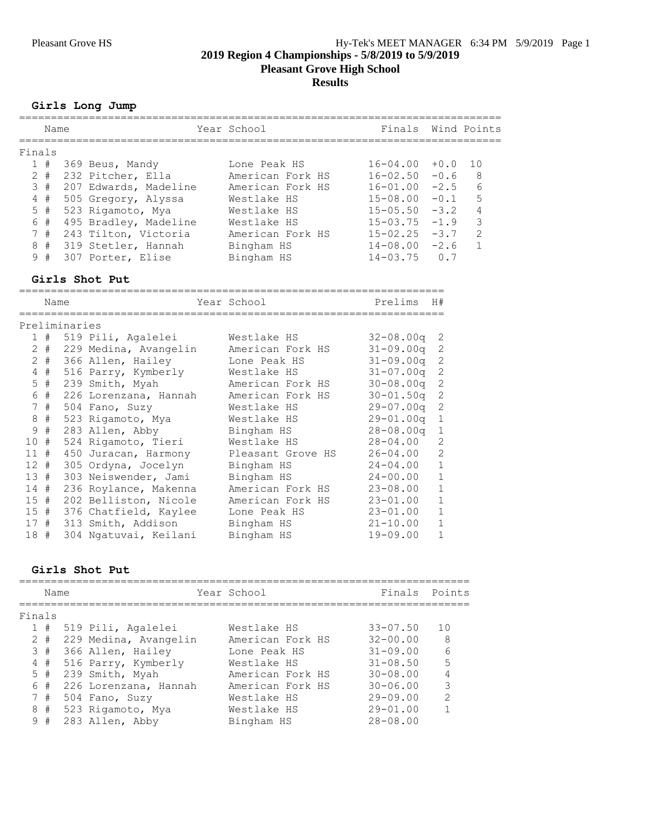#### **Girls Long Jump**

|        | Name  |                       | Year School      | Finals Wind Points |        |               |
|--------|-------|-----------------------|------------------|--------------------|--------|---------------|
| Finals |       |                       |                  |                    |        |               |
|        | 1#    | 369 Beus, Mandy       | Lone Peak HS     | $16 - 04.00$       | $+0.0$ | 1 O           |
|        | $2 +$ | 232 Pitcher, Ella     | American Fork HS | $16 - 02.50$       | $-0.6$ | 8             |
|        | 3#    | 207 Edwards, Madeline | American Fork HS | $16 - 01.00$       | $-2.5$ | 6             |
|        | 4#    | 505 Gregory, Alyssa   | Westlake HS      | $15 - 08.00$       | $-0.1$ | 5             |
|        | 5#    | 523 Rigamoto, Mya     | Westlake HS      | $15 - 05.50$       | $-3.2$ | 4             |
|        | 6#    | 495 Bradley, Madeline | Westlake HS      | $15 - 03.75$       | $-1.9$ | 3             |
|        | 7#    | 243 Tilton, Victoria  | American Fork HS | $15 - 02.25$       | $-3.7$ | $\mathcal{L}$ |
|        | 8#    | 319 Stetler, Hannah   | Bingham HS       | 14-08.00           | $-2.6$ |               |
| 9      | #     | 307 Porter, Elise     | Bingham HS       | $14 - 03.75$       | 0 7    |               |

#### **Girls Shot Put**

=================================================================== Name Year School Prelims H# =================================================================== Preliminaries 1 # 519 Pili, Agalelei Westlake HS 32-08.00q 2 2 # 229 Medina, Avangelin American Fork HS 31-09.00q 2 2 # 366 Allen, Hailey Lone Peak HS 31-09.00q 2 4 # 516 Parry, Kymberly Westlake HS 31-07.00q 2 5 # 239 Smith, Myah American Fork HS 30-08.00q 2 6 # 226 Lorenzana, Hannah American Fork HS 30-01.50q 2 7 # 504 Fano, Suzy Westlake HS 29-07.00q 2 8 # 523 Rigamoto, Mya Westlake HS 29-01.00q 1 9 # 283 Allen, Abby Bingham HS 28-08.00q 1 10 # 524 Rigamoto, Tieri Westlake HS 28-04.00 2 11 # 450 Juracan, Harmony Pleasant Grove HS 26-04.00 2 12 # 305 Ordyna, Jocelyn Bingham HS 24-04.00 1 13 # 303 Neiswender, Jami Bingham HS 24-00.00 1 14 # 236 Roylance, Makenna American Fork HS 23-08.00 1 15 # 202 Belliston, Nicole American Fork HS 23-01.00 1 15 # 376 Chatfield, Kaylee Lone Peak HS 23-01.00 1 17 # 313 Smith, Addison Bingham HS 21-10.00 1 18 # 304 Ngatuvai, Keilani Bingham HS 19-09.00 1

#### **Girls Shot Put**

|        | Name  |                       | Year School      | Finals Points |               |
|--------|-------|-----------------------|------------------|---------------|---------------|
| Finals |       |                       |                  |               |               |
|        | 1#    | 519 Pili, Agalelei    | Westlake HS      | $33 - 07.50$  | 10            |
|        | $2 +$ | 229 Medina, Avangelin | American Fork HS | $32 - 00.00$  | 8             |
|        | 3#    | 366 Allen, Hailey     | Lone Peak HS     | $31 - 09.00$  | 6             |
|        | 4#    | 516 Parry, Kymberly   | Westlake HS      | $31 - 08.50$  | 5             |
|        | $5$ # | 239 Smith, Myah       | American Fork HS | $30 - 08.00$  | 4             |
|        | 6 #   | 226 Lorenzana, Hannah | American Fork HS | $30 - 06.00$  | 3             |
|        | 7#    | 504 Fano, Suzy        | Westlake HS      | $29 - 09.00$  | $\mathcal{L}$ |
| 8      | #     | 523 Rigamoto, Mya     | Westlake HS      | $29 - 01.00$  | 1             |
|        | 9#    | 283 Allen, Abby       | Bingham HS       | $28 - 08.00$  |               |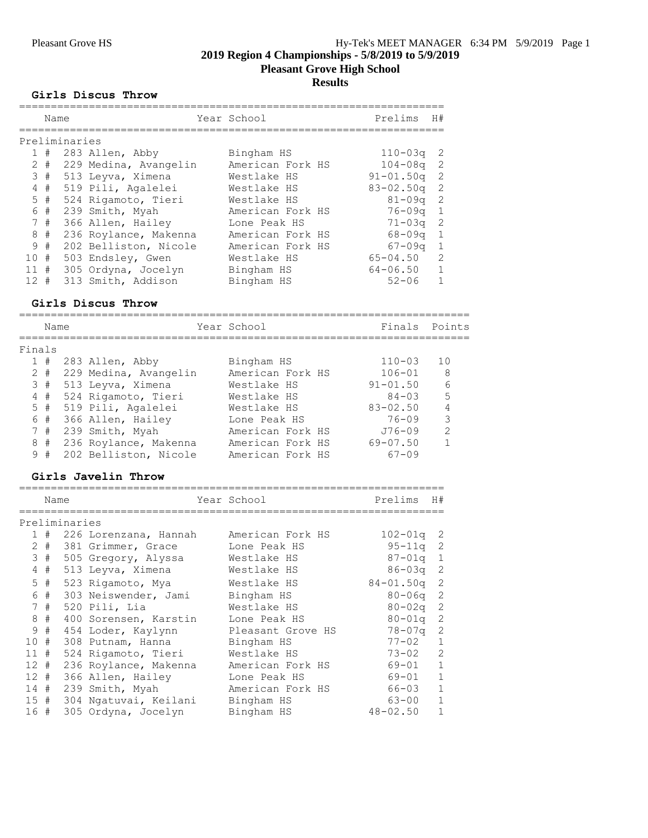**Pleasant Grove High School**

# **Results**

#### **Girls Discus Throw**

|                 | Name          |  |                       |  | Year School      |  | Prelims       | H#            |  |  |
|-----------------|---------------|--|-----------------------|--|------------------|--|---------------|---------------|--|--|
|                 | Preliminaries |  |                       |  |                  |  |               |               |  |  |
|                 |               |  |                       |  |                  |  |               |               |  |  |
| $\mathbf{1}$    | #             |  | 283 Allen, Abby       |  | Bingham HS       |  | $110 - 03q$   | -2            |  |  |
|                 | $2 \#$        |  | 229 Medina, Avangelin |  | American Fork HS |  | $104 - 08$ q  | 2             |  |  |
|                 | 3#            |  | 513 Leyva, Ximena     |  | Westlake HS      |  | $91 - 01.50q$ | 2             |  |  |
|                 | 4#            |  | 519 Pili, Agalelei    |  | Westlake HS      |  | $83 - 02.50q$ | -2            |  |  |
|                 | $5$ #         |  | 524 Rigamoto, Tieri   |  | Westlake HS      |  | $81 - 09$ q   | 2             |  |  |
|                 | 6#            |  | 239 Smith, Myah       |  | American Fork HS |  | $76 - 09q$    | -1            |  |  |
|                 | 7#            |  | 366 Allen, Hailey     |  | Lone Peak HS     |  | $71 - 03q$    | -2            |  |  |
|                 | 8#            |  | 236 Roylance, Makenna |  | American Fork HS |  | $68 - 09q$    | -1            |  |  |
| 9               | #             |  | 202 Belliston, Nicole |  | American Fork HS |  | $67 - 09q$    | $\mathbf{1}$  |  |  |
| 10 <sup>1</sup> | #             |  | 503 Endsley, Gwen     |  | Westlake HS      |  | $65 - 04.50$  | $\mathcal{L}$ |  |  |
| 11              | #             |  | 305 Ordyna, Jocelyn   |  | Bingham HS       |  | 64-06.50      |               |  |  |
| 12 <sup>°</sup> | #             |  | 313 Smith, Addison    |  | Bingham HS       |  | $52 - 06$     |               |  |  |

#### **Girls Discus Throw**

======================================================================= Name **The School School** Finals Points ======================================================================= Finals 1 # 283 Allen, Abby Bingham HS 110-03 10 2 # 229 Medina, Avangelin American Fork HS 106-01 8 3 # 513 Leyva, Ximena Westlake HS 91-01.50 6 4 # 524 Rigamoto, Tieri Westlake HS 84-03 5 5 # 519 Pili, Agalelei Westlake HS 83-02.50 4 6 # 366 Allen, Hailey Lone Peak HS 76-09 3 7 # 239 Smith, Myah American Fork HS J76-09 2 8 # 236 Roylance, Makenna American Fork HS 69-07.50 1 9 # 202 Belliston, Nicole American Fork HS 67-09

===================================================================

#### **Girls Javelin Throw**

|                 | Name |               |                       | Year School       | Prelims       | H#             |
|-----------------|------|---------------|-----------------------|-------------------|---------------|----------------|
|                 |      | Preliminaries |                       |                   |               |                |
|                 | #    |               | 226 Lorenzana, Hannah | American Fork HS  | $102 - 01q$   | -2             |
| $\mathbf{2}$    | #    |               | 381 Grimmer, Grace    | Lone Peak HS      | $95 - 11q$ 2  |                |
| 3               | #    |               | 505 Gregory, Alyssa   | Westlake HS       | $87 - 01q$ 1  |                |
| 4               | #    |               | 513 Leyva, Ximena     | Westlake HS       | 86-03q        | 2              |
| 5               | #    |               | 523 Rigamoto, Mya     | Westlake HS       | $84 - 01.50q$ | $\overline{2}$ |
| 6               | #    |               | 303 Neiswender, Jami  | Bingham HS        | 80-06a        | -2             |
| $7^{\circ}$     | #    |               | 520 Pili, Lia         | Westlake HS       | $80 - 02q$ 2  |                |
| 8               | #    |               | 400 Sorensen, Karstin | Lone Peak HS      | 80-01a        | $\overline{2}$ |
| 9               | #    |               | 454 Loder, Kaylynn    | Pleasant Grove HS | 78-07a        | 2              |
| 10 <sup>°</sup> | #    |               | 308 Putnam, Hanna     | Bingham HS        | $77 - 02$     | $\mathbf{1}$   |
| 11              | #    |               | 524 Rigamoto, Tieri   | Westlake HS       | $73 - 02$     | 2              |
| 12 <sup>7</sup> | #    |               | 236 Roylance, Makenna | American Fork HS  | 69-01         | $\mathbf{1}$   |
| 12              | #    |               | 366 Allen, Hailey     | Lone Peak HS      | 69-01         | $\mathbf{1}$   |
| 14              | #    |               | 239 Smith, Myah       | American Fork HS  | 66-03         | $\mathbf{1}$   |
| 15#             |      |               | 304 Ngatuvai, Keilani | Bingham HS        | 63-00         | $\mathbf{1}$   |
| 16 #            |      |               | 305 Ordyna, Jocelyn   | Bingham HS        | $48 - 02.50$  | $\mathbf{1}$   |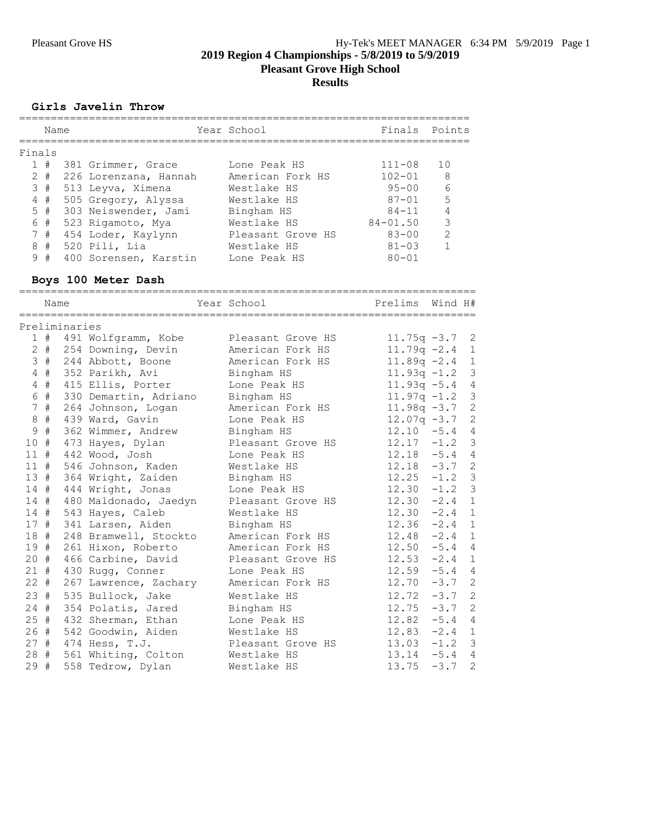**Pleasant Grove High School**

**Results**

### **Girls Javelin Throw**

|              | Name |                       | Year School       | Finals Points |               |
|--------------|------|-----------------------|-------------------|---------------|---------------|
| Finals       |      |                       |                   |               |               |
|              | 1#   | 381 Grimmer, Grace    | Lone Peak HS      | $111 - 08$    | 10            |
| $\mathbf{2}$ | #    | 226 Lorenzana, Hannah | American Fork HS  | $102 - 01$    | 8             |
|              | 3#   | 513 Leyva, Ximena     | Westlake HS       | $95 - 00$     | 6             |
|              | 4#   | 505 Gregory, Alyssa   | Westlake HS       | $87 - 01$     | .5            |
|              | 5#   | 303 Neiswender, Jami  | Bingham HS        | $84 - 11$     |               |
|              | 6#   | 523 Rigamoto, Mya     | Westlake HS       | $84 - 01.50$  | 3             |
|              | 7#   | 454 Loder, Kaylynn    | Pleasant Grove HS | $83 - 00$     | $\mathcal{P}$ |
| 8            | #    | 520 Pili, Lia         | Westlake HS       | $81 - 0.3$    |               |
| 9            | #    | 400 Sorensen, Karstin | Lone Peak HS      | $80 - 01$     |               |
|              |      |                       |                   |               |               |

# **Boys 100 Meter Dash**

|        | Name  |               |                            | Year School       | Prelims         | Wind H# |                |
|--------|-------|---------------|----------------------------|-------------------|-----------------|---------|----------------|
|        |       |               |                            |                   |                 |         |                |
|        |       | Preliminaries |                            |                   |                 |         |                |
|        |       |               | 1 # 491 Wolfgramm, Kobe    | Pleasant Grove HS | $11.75q - 3.72$ |         |                |
|        |       |               | 2 # 254 Downing, Devin     | American Fork HS  | $11.79q - 2.4$  |         | $\mathbf{1}$   |
|        | 3#    |               | 244 Abbott, Boone          | American Fork HS  | $11.89q - 2.4$  |         | $\mathbf{1}$   |
|        | $4$ # |               | 352 Parikh, Avi            | Bingham HS        | $11.93q - 1.2$  |         | $\mathfrak{Z}$ |
|        | $4$ # |               | 415 Ellis, Porter          | Lone Peak HS      | $11.93q - 5.4$  |         | $\overline{4}$ |
|        | 6 #   |               | 330 Demartin, Adriano      | Bingham HS        | $11.97q - 1.2$  |         | $\mathfrak{Z}$ |
|        | 7#    |               | 264 Johnson, Logan         | American Fork HS  | $11.98q - 3.7$  |         | $\mathbf{2}$   |
|        | 8 #   |               | 439 Ward, Gavin            | Lone Peak HS      | $12.07q -3.7$   |         | 2              |
| 9      | #     |               | 362 Wimmer, Andrew         | Bingham HS        | $12.10 - 5.4$   |         | $\overline{4}$ |
| 10#    |       |               | 473 Hayes, Dylan           | Pleasant Grove HS | $12.17 - 1.2$   |         | $\mathcal{E}$  |
| 11#    |       |               | 442 Wood, Josh             | Lone Peak HS      | $12.18 - 5.4$   |         | 4              |
|        | 11#   |               | 546 Johnson, Kaden         | Westlake HS       | $12.18 - 3.7$   |         | 2              |
|        |       |               | 13 # 364 Wright, Zaiden    | Bingham HS        | $12.25 - 1.2$   |         | $\mathcal{S}$  |
| 14#    |       |               | 444 Wright, Jonas          | Lone Peak HS      | $12.30 - 1.2$ 3 |         |                |
|        |       |               | 14 # 480 Maldonado, Jaedyn | Pleasant Grove HS | $12.30 -2.4$ 1  |         |                |
|        | 14#   |               | 543 Hayes, Caleb           | Westlake HS       | $12.30 - 2.4$   |         | $\mathbf{1}$   |
|        | 17#   |               | 341 Larsen, Aiden          | Bingham HS        | $12.36 -2.4$    |         | $\mathbf{1}$   |
|        | 18 #  |               | 248 Bramwell, Stockto      | American Fork HS  | $12.48 - 2.4$   |         | $\mathbf{1}$   |
|        |       |               | 19 # 261 Hixon, Roberto    | American Fork HS  | $12.50 - 5.4$   |         | $\overline{4}$ |
| 20#    |       |               | 466 Carbine, David         | Pleasant Grove HS | $12.53 -2.4$    |         | 1              |
|        |       |               | 21 # 430 Rugg, Conner      | Lone Peak HS      | $12.59 - 5.4$   |         | $\overline{4}$ |
| $22 +$ |       |               | 267 Lawrence, Zachary      | American Fork HS  | $12.70 - 3.7$   |         | 2              |
| 23#    |       |               | 535 Bullock, Jake          | Westlake HS       | 12.72           | $-3.7$  | 2              |
| 24#    |       |               | 354 Polatis, Jared         | Bingham HS        | $12.75 - 3.7$   |         | 2              |
|        |       |               | 25 # 432 Sherman, Ethan    | Lone Peak HS      | $12.82 - 5.4$   |         | $\overline{4}$ |
|        |       |               | 26 # 542 Goodwin, Aiden    | Westlake HS       | $12.83 - 2.4$   |         | $\mathbf{1}$   |
|        |       |               | 27 # 474 Hess, T.J.        | Pleasant Grove HS | $13.03 - 1.2$ 3 |         |                |
|        |       |               | 28 # 561 Whiting, Colton   | Westlake HS       | $13.14 -5.4 4$  |         |                |
| 29#    |       |               | 558 Tedrow, Dylan          | Westlake HS       | 13.75           | $-3.7$  | $\overline{c}$ |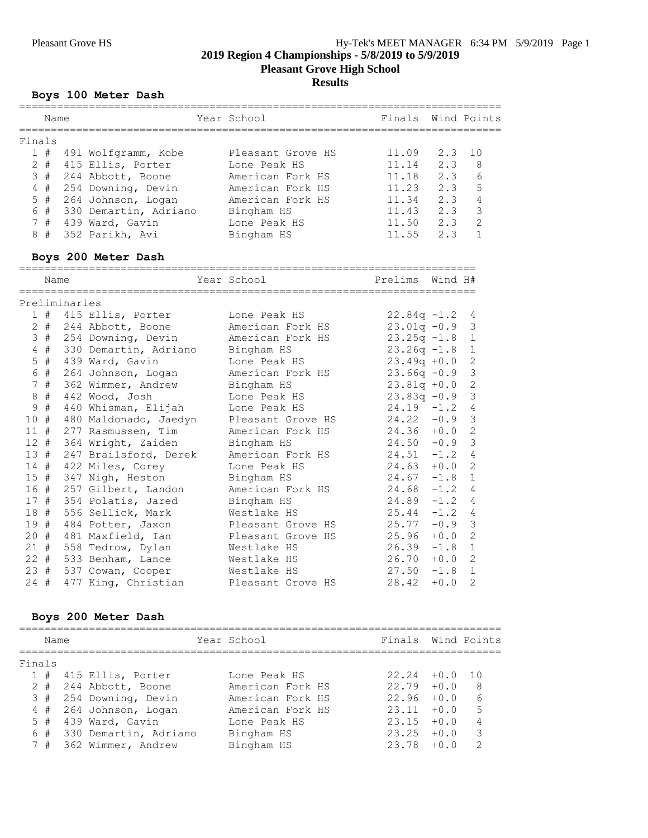# Pleasant Grove HS Hy-Tek's MEET MANAGER 6:34 PM 5/9/2019 Page 1

**2019 Region 4 Championships - 5/8/2019 to 5/9/2019**

**Pleasant Grove High School**

### **Results**

### **Boys 100 Meter Dash**

|        | Name   |               |                                                                      | Year School                          | Finals Wind Points             |        |                |
|--------|--------|---------------|----------------------------------------------------------------------|--------------------------------------|--------------------------------|--------|----------------|
| Finals |        |               |                                                                      |                                      |                                |        |                |
|        |        |               | 1 # 491 Wolfgramm, Kobe                                              | Pleasant Grove HS                    | 11.09                          | 2.3    | 10             |
|        |        |               |                                                                      |                                      | 11.14                          | 2.3    | 8              |
|        | 3#     |               | 2 # 415 Ellis, Porter Lone Peak HS                                   |                                      |                                |        |                |
|        | $4$ #  |               | 244 Abbott, Boone<br>254 Downing, Devin                              | American Fork HS<br>American Fork HS | $11.18$ 2.3 6<br>$11.23$ 2.3 5 |        |                |
|        | $5$ #  |               | 264 Johnson, Logan Merican Fork HS                                   |                                      | $11.34$ 2.3 4                  |        |                |
|        | 6 #    |               | 330 Demartin, Adriano Bingham HS                                     |                                      | $11.43$ 2.3 3                  |        |                |
|        | 7#     |               |                                                                      |                                      | 11.50 2.3 2                    |        |                |
|        | 8#     |               | 439 Ward, Gavin Martin Lone Peak HS<br>352 Parikh, Avi               | Bingham HS                           | $11.55$ $2.3$                  |        | $\mathbf{1}$   |
|        |        |               |                                                                      |                                      |                                |        |                |
|        |        |               | Boys 200 Meter Dash                                                  |                                      |                                |        |                |
|        | Name   |               |                                                                      | Year School                          | Prelims Wind H#                |        |                |
|        |        | Preliminaries |                                                                      |                                      |                                |        |                |
|        |        |               | 1 # 415 Ellis, Porter                                                | Lone Peak HS                         | $22.84q -1.2$                  |        | 4              |
|        |        |               | 2 # 244 Abbott, Boone                                                | American Fork HS<br>American Fork HS | $23.01q - 0.9$                 |        | $\mathfrak{Z}$ |
|        |        |               | 3 # 254 Downing, Devin                                               |                                      | $23.25q -1.8$                  |        | $\mathbf{1}$   |
|        | $4$ #  |               | 330 Demartin, Adriano Bingham HS                                     |                                      | $23.26q -1.8$                  |        | $\mathbf{1}$   |
|        | $5$ #  |               | 439 Ward, Gavin                                                      | Lone Peak HS                         | $23.49q + 0.0$                 |        | $\mathbf{2}$   |
|        | 6 #    |               | 264 Johnson, Logan                                                   | American Fork HS<br>Bingham HS       | $23.66q -0.9$                  |        | $\mathfrak{Z}$ |
|        | 7#     |               | 362 Wimmer, Andrew                                                   |                                      | $23.81q + 0.0$                 |        | $\overline{c}$ |
|        | $8 +$  |               | 442 Wood, Josh                                                       | Lone Peak HS                         | $23.83q -0.9$                  |        | $\mathfrak{Z}$ |
|        | 9 #    |               | 440 Whisman, Elijah                                                  | Lone Peak HS                         | $24.19 - 1.2$                  |        | 4              |
| 10#    |        |               | 480 Maldonado, Jaedyn Pleasant Grove HS                              |                                      | $24.22 - 0.9$                  |        | $\mathcal{S}$  |
| 11#    |        |               | 277 Rasmussen, Tim                                                   | American Fork HS                     | $24.36 + 0.0$                  |        | $\overline{c}$ |
| $12 +$ |        |               | 364 Wright, Zaiden                                                   | Bingham HS                           | $24.50 - 0.9$                  |        | $\mathfrak{Z}$ |
| 13#    |        |               | 247 Brailsford, Derek                                                | American Fork HS                     | $24.51 - 1.2$                  |        | 4              |
| 14#    |        |               | 422 Miles, Corey                                                     | Lone Peak HS                         | 24.63                          | $+0.0$ | $\overline{2}$ |
|        | 15#    |               | 347 Nigh, Heston                                                     | Bingham HS                           | $24.67 - 1.8$                  |        | $\mathbf{1}$   |
| 16#    |        |               | 257 Gilbert, Landon                                                  | American Fork HS                     | $24.68 - 1.2$                  |        | 4              |
| 17#    |        |               | 354 Polatis, Jared                                                   | Bingham HS                           | $24.89 - 1.2$                  |        | 4              |
| 18#    |        |               | 556 Sellick, Mark                                                    | Westlake HS                          | 25.44                          | $-1.2$ | 4              |
| 19#    |        |               | 484 Potter, Jaxon Pleasant Grove HS                                  |                                      | $25.77 - 0.9$                  |        | $\mathcal{S}$  |
|        | $20 +$ |               | 481 Maxfield, Ian Bleasant Grove HS<br>558 Tedrow, Dylan Westlake HS |                                      | 25.96                          | $+0.0$ | $\overline{2}$ |
| $21 +$ |        |               |                                                                      |                                      | $26.39 -1.8$                   |        | $\mathbf{1}$   |
|        | $22 +$ |               | 533 Benham, Lance Westlake HS                                        |                                      | 26.70                          | $+0.0$ | $\mathbf{2}$   |
| 23#    |        |               | 537 Cowan, Cooper                                                    | Westlake HS                          | 27.50                          | $-1.8$ | $\mathbf{1}$   |
| $24 +$ |        |               | 477 King, Christian                                                  | Pleasant Grove HS                    | 28.42                          | $+0.0$ | $\overline{2}$ |

### **Boys 200 Meter Dash**

|        | Name  |  |                           | Year School      | Finals Wind Points |        |               |
|--------|-------|--|---------------------------|------------------|--------------------|--------|---------------|
| Finals |       |  |                           |                  |                    |        |               |
|        |       |  | 1 # 415 Ellis, Porter     | Lone Peak HS     | $22.24 + 0.0$      |        | 1 N           |
|        | $2 +$ |  | 244 Abbott, Boone         | American Fork HS | $22.79 + 0.0$      |        | 8             |
|        | 3#    |  | 254 Downing, Devin        | American Fork HS | 22.96              | $+0.0$ | 6             |
|        |       |  | 4 # 264 Johnson, Logan    | American Fork HS | $23.11 + 0.0$      |        | 5             |
|        |       |  | $5$ # 439 Ward, Gavin     | Lone Peak HS     | 23.15              | $+0.0$ | 4             |
|        |       |  | 6 # 330 Demartin, Adriano | Bingham HS       | 23.25              | $+0.0$ | 3             |
|        |       |  | 7 # 362 Wimmer, Andrew    | Bingham HS       | 23.78              | $+0.0$ | $\mathcal{P}$ |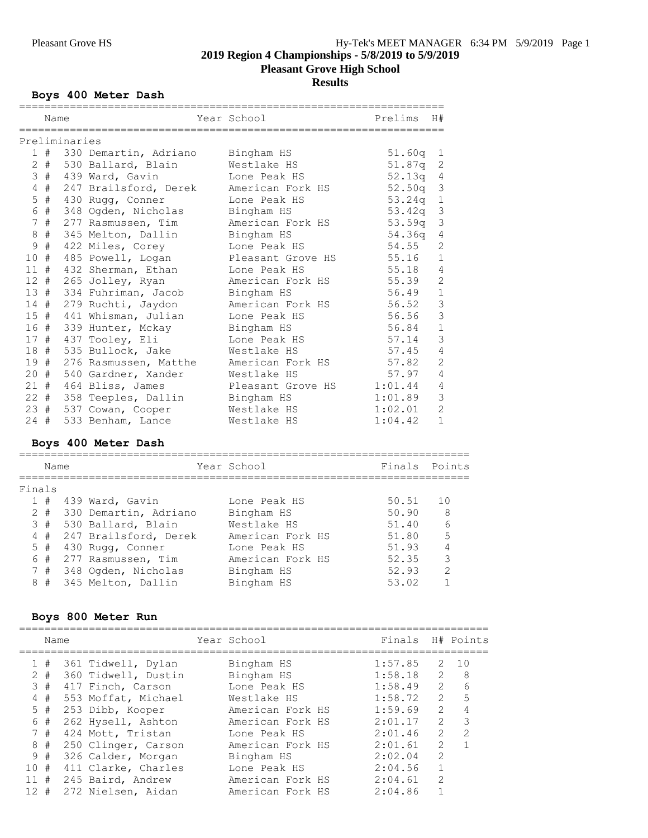# **2019 Region 4 Championships - 5/8/2019 to 5/9/2019 Pleasant Grove High School**

# **Results**

# **Boys 400 Meter Dash**

|                 | Name   |               |                       | Year School       | Prelims            | H#             |
|-----------------|--------|---------------|-----------------------|-------------------|--------------------|----------------|
|                 |        | Preliminaries |                       |                   |                    |                |
| $\mathbf{1}$    | #      |               | 330 Demartin, Adriano | Bingham HS        | 51.60q             | $\mathbf{1}$   |
| 2               | #      |               | 530 Ballard, Blain    | Westlake HS       | 51.87 <sub>q</sub> | 2              |
| 3               | #      |               | 439 Ward, Gavin       | Lone Peak HS      | 52.13 <sub>q</sub> | 4              |
| 4               | #      |               | 247 Brailsford, Derek | American Fork HS  | 52.50q             | $\mathfrak{Z}$ |
| 5               | $\#$   |               | 430 Rugg, Conner      | Lone Peak HS      | 53.24q             | $\,1\,$        |
| 6               | #      |               | 348 Ogden, Nicholas   | Bingham HS        | 53.42q             | $\mathsf 3$    |
| 7               | #      |               | 277 Rasmussen, Tim    | American Fork HS  | 53.59 <sub>q</sub> | $\mathsf 3$    |
| 8               | $\#$   |               | 345 Melton, Dallin    | Bingham HS        | 54.36g             | $\sqrt{4}$     |
| $\mathcal{G}$   | #      |               | 422 Miles, Corey      | Lone Peak HS      | 54.55              | $\overline{c}$ |
| 10              | #      |               | 485 Powell, Logan     | Pleasant Grove HS | 55.16              | $1\,$          |
| 11              | #      |               | 432 Sherman, Ethan    | Lone Peak HS      | 55.18              | $\overline{4}$ |
| 12 <sup>°</sup> | #      |               | 265 Jolley, Ryan      | American Fork HS  | 55.39              | $\overline{c}$ |
|                 | 13#    |               | 334 Fuhriman, Jacob   | Bingham HS        | 56.49              | $\mathbf{1}$   |
|                 | $14$ # |               | 279 Ruchti, Jaydon    | American Fork HS  | 56.52              | 3              |
|                 | 15#    |               | 441 Whisman, Julian   | Lone Peak HS      | 56.56              | 3              |
|                 | 16 #   |               | 339 Hunter, Mckay     | Bingham HS        | 56.84              | $\mathbf{1}$   |
| 17#             |        |               | 437 Tooley, Eli       | Lone Peak HS      | 57.14              | $\mathfrak{Z}$ |
| 18              | #      |               | 535 Bullock, Jake     | Westlake HS       | 57.45              | $\overline{4}$ |
|                 | 19#    |               | 276 Rasmussen, Matthe | American Fork HS  | 57.82              | $\overline{c}$ |
| 20 #            |        |               | 540 Gardner, Xander   | Westlake HS       | 57.97              | $\sqrt{4}$     |
|                 | 21#    |               | 464 Bliss, James      | Pleasant Grove HS | 1:01.44            | $\overline{4}$ |
|                 | $22 +$ |               | 358 Teeples, Dallin   | Bingham HS        | 1:01.89            | 3              |
| 23#             |        |               | 537 Cowan, Cooper     | Westlake HS       | 1:02.01            | $\overline{2}$ |
| 24              | #      |               | 533 Benham, Lance     | Westlake HS       | 1:04.42            | $\mathbf{1}$   |

# **Boys 400 Meter Dash**

|        | Name      |                        | Year School      | Finals Points |                |
|--------|-----------|------------------------|------------------|---------------|----------------|
| Finals |           |                        |                  |               |                |
|        |           | $1$ # 439 Ward, Gavin  | Lone Peak HS     | 50.51         | 10             |
|        | $2 \pm 1$ | 330 Demartin, Adriano  | Bingham HS       | 50.90         | 8              |
|        | 3#        | 530 Ballard, Blain     | Westlake HS      | 51.40         | 6              |
|        | 4#        | 247 Brailsford, Derek  | American Fork HS | 51.80         | 5              |
|        | $5 +$     | 430 Rugg, Conner       | Lone Peak HS     | 51.93         | $\overline{4}$ |
|        | 6#        | 277 Rasmussen, Tim     | American Fork HS | 52.35         | 3              |
|        | 7#        | 348 Ogden, Nicholas    | Bingham HS       | 52.93         | $\mathcal{L}$  |
|        |           | 8 # 345 Melton, Dallin | Bingham HS       | 53.02         |                |

# **Boys 800 Meter Run**

|          | Name  |                     | Year School      | Finals  |               | H# Points     |
|----------|-------|---------------------|------------------|---------|---------------|---------------|
|          | 1#    | 361 Tidwell, Dylan  | Bingham HS       | 1:57.85 | 2             | 10            |
|          | $2 +$ | 360 Tidwell, Dustin | Bingham HS       | 1:58.18 | $\mathcal{L}$ | - 8           |
|          | 3#    | 417 Finch, Carson   | Lone Peak HS     | 1:58.49 | $\mathcal{L}$ | 6             |
| 4        | #     | 553 Moffat, Michael | Westlake HS      | 1:58.72 | $\mathcal{L}$ | 5             |
|          | 5#    | 253 Dibb, Kooper    | American Fork HS | 1:59.69 | $\mathcal{L}$ |               |
|          | 6#    | 262 Hysell, Ashton  | American Fork HS | 2:01.17 | $\mathcal{L}$ | 3             |
|          | 7#    | 424 Mott, Tristan   | Lone Peak HS     | 2:01.46 | $\mathcal{L}$ | $\mathcal{P}$ |
|          | 8 #   | 250 Clinger, Carson | American Fork HS | 2:01.61 | $\mathcal{P}$ |               |
|          | 9#    | 326 Calder, Morgan  | Bingham HS       | 2:02.04 | $\mathcal{L}$ |               |
| 10 #     |       | 411 Clarke, Charles | Lone Peak HS     | 2:04.56 |               |               |
| 11#      |       | 245 Baird, Andrew   | American Fork HS | 2:04.61 | $\mathcal{L}$ |               |
| $12 \pm$ |       | 272 Nielsen, Aidan  | American Fork HS | 2:04.86 |               |               |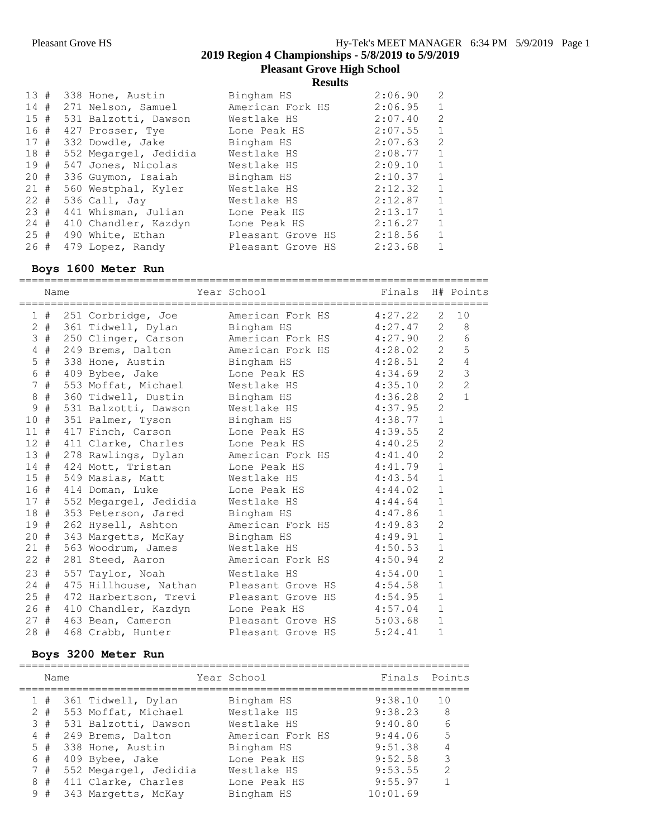**Pleasant Grove High School**

**Results**

| 13#    |  | 338 Hone, Austin      | Bingham HS        | 2:06.90 | $\overline{2}$ |
|--------|--|-----------------------|-------------------|---------|----------------|
| 14#    |  | 271 Nelson, Samuel    | American Fork HS  | 2:06.95 | $\mathbf 1$    |
| 15#    |  | 531 Balzotti, Dawson  | Westlake HS       | 2:07.40 | 2              |
| 16#    |  | 427 Prosser, Tye      | Lone Peak HS      | 2:07.55 | $\mathbf{1}$   |
|        |  | 17 # 332 Dowdle, Jake | Bingham HS        | 2:07.63 | 2              |
| 18#    |  | 552 Megargel, Jedidia | Westlake HS       | 2:08.77 | $\mathbf{1}$   |
| 19#    |  | 547 Jones, Nicolas    | Westlake HS       | 2:09.10 | $\mathbf{1}$   |
| 20 #   |  | 336 Guymon, Isaiah    | Bingham HS        | 2:10.37 | $\mathbf{1}$   |
| 21#    |  | 560 Westphal, Kyler   | Westlake HS       | 2:12.32 | $\mathbf{1}$   |
| $22 +$ |  | 536 Call, Jay         | Westlake HS       | 2:12.87 | $\mathbf{1}$   |
| 23#    |  | 441 Whisman, Julian   | Lone Peak HS      | 2:13.17 | $\mathbf{1}$   |
| 24#    |  | 410 Chandler, Kazdyn  | Lone Peak HS      | 2:16.27 | $\mathbf{1}$   |
| 25#    |  | 490 White, Ethan      | Pleasant Grove HS | 2:18.56 | $\mathbf{1}$   |
| 26 #   |  | 479 Lopez, Randy      | Pleasant Grove HS | 2:23.68 | $\mathbf{1}$   |

#### **Boys 1600 Meter Run**

========================================================================== Name The Year School The Finals H# Points ========================================================================== 1 # 251 Corbridge, Joe American Fork HS 4:27.22 2 10 2 # 361 Tidwell, Dylan Bingham HS 4:27.47 2 8 3 # 250 Clinger, Carson American Fork HS 4:27.90 2 6 4 # 249 Brems, Dalton American Fork HS 4:28.02 2 5 5 # 338 Hone, Austin Bingham HS 4:28.51 2 4 6 # 409 Bybee, Jake Lone Peak HS 4:34.69 2 3 7 # 553 Moffat, Michael Westlake HS 4:35.10 2 2 8 # 360 Tidwell, Dustin Bingham HS 4:36.28 2 1 9 # 531 Balzotti, Dawson Westlake HS 4:37.95 2 10 # 351 Palmer, Tyson Bingham HS 4:38.77 1 11 # 417 Finch, Carson Lone Peak HS 4:39.55 2 12 # 411 Clarke, Charles Lone Peak HS 4:40.25 2 13 # 278 Rawlings, Dylan American Fork HS 4:41.40 2 14 # 424 Mott, Tristan Lone Peak HS 4:41.79 1 15 # 549 Masias, Matt Westlake HS 4:43.54 1 16 # 414 Doman, Luke Lone Peak HS 4:44.02 1 17 # 552 Megargel, Jedidia Westlake HS 4:44.64 1 18 # 353 Peterson, Jared Bingham HS 4:47.86 1 19 # 262 Hysell, Ashton American Fork HS 4:49.83 2 20 # 343 Margetts, McKay Bingham HS 4:49.91 1 21 # 563 Woodrum, James Westlake HS 4:50.53 1 22 # 281 Steed, Aaron American Fork HS 4:50.94 2 23 # 557 Taylor, Noah Westlake HS 4:54.00 1 24 # 475 Hillhouse, Nathan Pleasant Grove HS 4:54.58 1 25 # 472 Harbertson, Trevi Pleasant Grove HS 4:54.95 1 26 # 410 Chandler, Kazdyn Lone Peak HS 4:57.04 1 27 # 463 Bean, Cameron Pleasant Grove HS 5:03.68 1 28 # 468 Crabb, Hunter Pleasant Grove HS 5:24.41 1

### **Boys 3200 Meter Run**

|       | Name |                        | Year School      | Finals Points |                |
|-------|------|------------------------|------------------|---------------|----------------|
|       |      | 1 # 361 Tidwell, Dylan | Bingham HS       | 9:38.10       | 1 O            |
| $2 +$ |      | 553 Moffat, Michael    | Westlake HS      | 9:38.23       | - 8            |
| 3#    |      | 531 Balzotti, Dawson   | Westlake HS      | 9:40.80       | 6              |
| 4#    |      | 249 Brems, Dalton      | American Fork HS | 9:44.06       | -5             |
| 5#    |      | 338 Hone, Austin       | Bingham HS       | 9:51.38       | $\overline{4}$ |
| 6 #   |      | 409 Bybee, Jake        | Lone Peak HS     | 9:52.58       | 3              |
| 7#    |      | 552 Megargel, Jedidia  | Westlake HS      | 9:53.55       | $\mathcal{L}$  |
| 8#    |      | 411 Clarke, Charles    | Lone Peak HS     | 9:55.97       | $\overline{1}$ |
| 9#    |      | 343 Margetts, McKay    | Bingham HS       | 10:01.69      |                |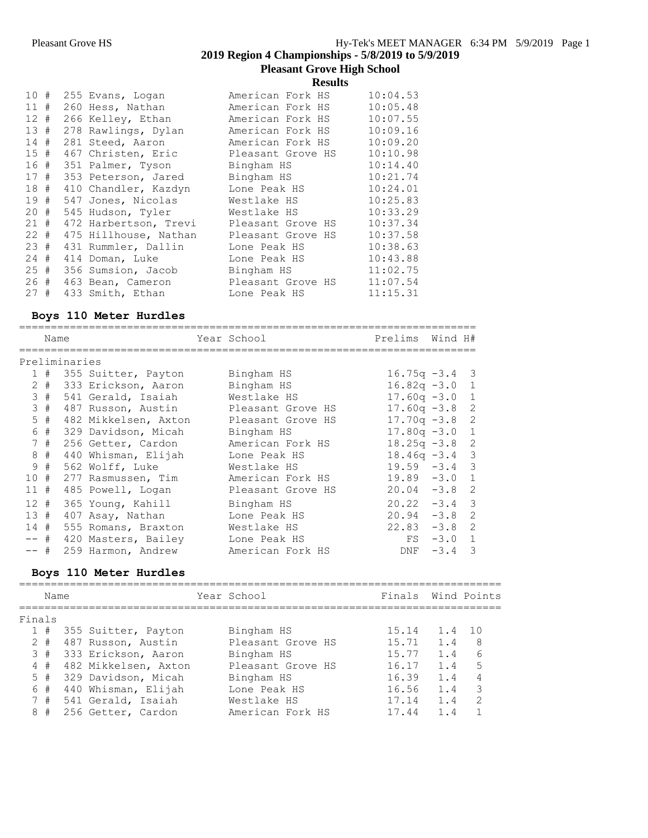**Pleasant Grove High School**

**Results**

| 10#    |  | 255 Evans, Logan      | American Fork HS  | 10:04.53 |
|--------|--|-----------------------|-------------------|----------|
| 11#    |  | 260 Hess, Nathan      | American Fork HS  | 10:05.48 |
| $12 +$ |  | 266 Kelley, Ethan     | American Fork HS  | 10:07.55 |
| 13#    |  | 278 Rawlings, Dylan   | American Fork HS  | 10:09.16 |
| 14#    |  | 281 Steed, Aaron      | American Fork HS  | 10:09.20 |
| 15#    |  | 467 Christen, Eric    | Pleasant Grove HS | 10:10.98 |
| 16#    |  | 351 Palmer, Tyson     | Bingham HS        | 10:14.40 |
| 17#    |  | 353 Peterson, Jared   | Bingham HS        | 10:21.74 |
| 18#    |  | 410 Chandler, Kazdyn  | Lone Peak HS      | 10:24.01 |
| 19#    |  | 547 Jones, Nicolas    | Westlake HS       | 10:25.83 |
| $20 +$ |  | 545 Hudson, Tyler     | Westlake HS       | 10:33.29 |
| 21#    |  | 472 Harbertson, Trevi | Pleasant Grove HS | 10:37.34 |
| $22 +$ |  | 475 Hillhouse, Nathan | Pleasant Grove HS | 10:37.58 |
| 23#    |  | 431 Rummler, Dallin   | Lone Peak HS      | 10:38.63 |
| $24 +$ |  | 414 Doman, Luke       | Lone Peak HS      | 10:43.88 |
| 25#    |  | 356 Sumsion, Jacob    | Bingham HS        | 11:02.75 |
| 26#    |  | 463 Bean, Cameron     | Pleasant Grove HS | 11:07.54 |
| 27#    |  | 433 Smith, Ethan      | Lone Peak HS      | 11:15.31 |

# **Boys 110 Meter Hurdles**

|        | Name |               |                      | Year School       | Prelims Wind H#  |        |                          |
|--------|------|---------------|----------------------|-------------------|------------------|--------|--------------------------|
|        |      | Preliminaries |                      |                   |                  |        |                          |
|        | 1#   |               | 355 Suitter, Payton  | Bingham HS        | $16.75q -3.4$ 3  |        |                          |
|        | 2 #  |               | 333 Erickson, Aaron  | Bingham HS        | $16.82q - 3.0$   |        | 1                        |
|        | 3#   |               | 541 Gerald, Isaiah   | Westlake HS       | $17.60q -3.0$    |        | 1                        |
|        | 3#   |               | 487 Russon, Austin   | Pleasant Grove HS | $17.60q - 3.8$   |        | -2                       |
|        | 5#   |               | 482 Mikkelsen, Axton | Pleasant Grove HS | $17.70q -3.8$    |        | 2                        |
| 6      | #    |               | 329 Davidson, Micah  | Bingham HS        | $17.80q - 3.0$   |        | 1                        |
|        | 7#   |               | 256 Getter, Cardon   | American Fork HS  | $18.25q - 3.8$ 2 |        |                          |
| 8      | #    |               | 440 Whisman, Elijah  | Lone Peak HS      | $18.46q - 3.4$ 3 |        |                          |
| 9      | #    |               | 562 Wolff, Luke      | Westlake HS       | $19.59 - 3.4$    |        | $\overline{\phantom{a}}$ |
| 10#    |      |               | 277 Rasmussen, Tim   | American Fork HS  | $19.89 - 3.0$    |        | 1                        |
| $11$ # |      |               | 485 Powell, Logan    | Pleasant Grove HS | $20.04 - 3.8$    |        | 2                        |
| $12 +$ |      |               | 365 Young, Kahill    | Bingham HS        | $20.22 - 3.4$    |        | $\mathcal{B}$            |
| 13#    |      |               | 407 Asay, Nathan     | Lone Peak HS      | $20.94 - 3.8$    |        | $\overline{2}$           |
| 14#    |      |               | 555 Romans, Braxton  | Westlake HS       | $22.83 - 3.8$    |        | $\mathcal{L}$            |
| -- #   |      |               | 420 Masters, Bailey  | Lone Peak HS      | FS               | $-3.0$ | $\overline{1}$           |
| -- #   |      |               | 259 Harmon, Andrew   | American Fork HS  | DNF              | $-3.4$ | 3                        |

# **Boys 110 Meter Hurdles**

| Finals |      |                                                                                                                                                                                    |                   |             |                                                                      |                    |
|--------|------|------------------------------------------------------------------------------------------------------------------------------------------------------------------------------------|-------------------|-------------|----------------------------------------------------------------------|--------------------|
| 1#     |      |                                                                                                                                                                                    | Bingham HS        |             | 1.4 10                                                               |                    |
| $2 +$  |      |                                                                                                                                                                                    | Pleasant Grove HS |             | 1.4                                                                  | 8                  |
| 3#     |      |                                                                                                                                                                                    | Bingham HS        |             | 1.4                                                                  | 6                  |
| 4#     |      |                                                                                                                                                                                    | Pleasant Grove HS |             | 1.4                                                                  | 5                  |
| 5#     |      |                                                                                                                                                                                    | Bingham HS        |             | 1.4                                                                  | 4                  |
| 6#     |      |                                                                                                                                                                                    | Lone Peak HS      |             | 1.4                                                                  | 3                  |
| 7#     |      |                                                                                                                                                                                    | Westlake HS       |             | $1\quad 4$                                                           | $\mathcal{P}$      |
| 8#     |      |                                                                                                                                                                                    | American Fork HS  |             | 1.4                                                                  |                    |
|        | Name | 355 Suitter, Payton<br>487 Russon, Austin<br>333 Erickson, Aaron<br>482 Mikkelsen, Axton<br>329 Davidson, Micah<br>440 Whisman, Elijah<br>541 Gerald, Isaiah<br>256 Getter, Cardon |                   | Year School | 15.14<br>15.71<br>15.77<br>16.17<br>16.39<br>16.56<br>17.14<br>17.44 | Finals Wind Points |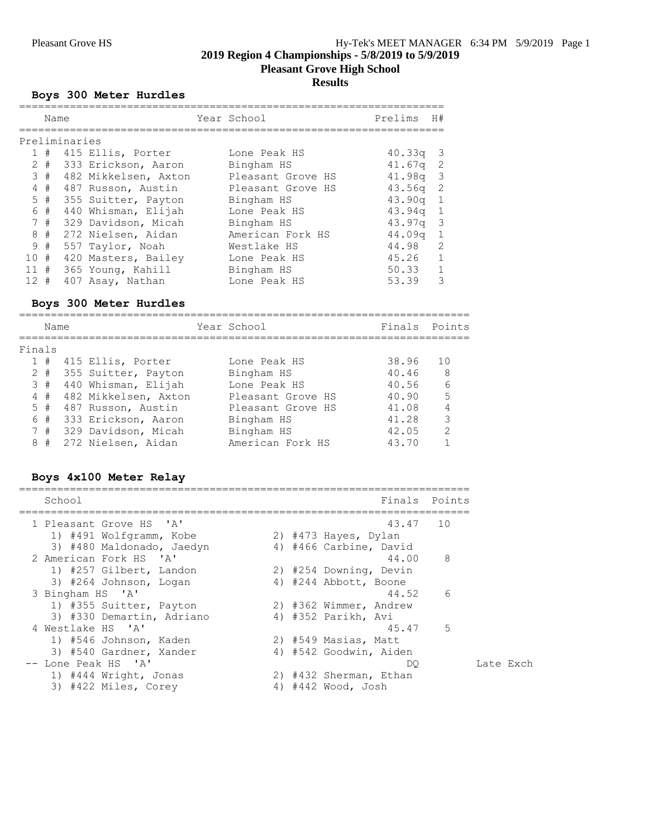**Pleasant Grove High School**

# **Results**

### **Boys 300 Meter Hurdles**

|     | Name |               |                         | Year School       | Prelims    | H#                      |
|-----|------|---------------|-------------------------|-------------------|------------|-------------------------|
|     |      | Preliminaries |                         |                   |            |                         |
|     |      |               | $1$ # 415 Ellis, Porter | Lone Peak HS      | 40.33q     | - 3                     |
|     | 2 #  |               | 333 Erickson, Aaron     | Bingham HS        | 41.67a     | -2                      |
|     | 3#   |               | 482 Mikkelsen, Axton    | Pleasant Grove HS | 41.98a     | $\overline{\mathbf{3}}$ |
|     | 4#   |               | 487 Russon, Austin      | Pleasant Grove HS | 43.56a     | 2                       |
|     | 5#   |               | 355 Suitter, Payton     | Bingham HS        | $43.90q$ 1 |                         |
|     | 6 #  |               | 440 Whisman, Elijah     | Lone Peak HS      | 43.94q     | 1                       |
|     | 7#   |               | 329 Davidson, Micah     | Bingham HS        | $43.97q$ 3 |                         |
|     | 8#   |               | 272 Nielsen, Aidan      | American Fork HS  | 44.09q     | $\overline{1}$          |
|     | 9#   |               | 557 Taylor, Noah        | Westlake HS       | 44.98      | -2                      |
| 10# |      |               | 420 Masters, Bailey     | Lone Peak HS      | 45.26      | $\overline{1}$          |
| 11  | #    |               | 365 Young, Kahill       | Bingham HS        | 50.33      | $\mathbf{1}$            |
| 12  | #    |               | 407 Asay, Nathan        | Lone Peak HS      | 53.39      | 3                       |

## **Boys 300 Meter Hurdles**

|        | Name  |                         | Year School       | Finals Points |               |
|--------|-------|-------------------------|-------------------|---------------|---------------|
| Finals |       |                         |                   |               |               |
|        |       | $1$ # 415 Ellis, Porter | Lone Peak HS      | 38.96         | 1 O           |
|        | $2 +$ | 355 Suitter, Payton     | Bingham HS        | 40.46         | 8             |
|        | 3#    | 440 Whisman, Elijah     | Lone Peak HS      | 40.56         | 6             |
|        | 4#    | 482 Mikkelsen, Axton    | Pleasant Grove HS | 40.90         | 5             |
|        |       | 5 # 487 Russon, Austin  | Pleasant Grove HS | 41.08         | 4             |
|        | 6#    | 333 Erickson, Aaron     | Bingham HS        | 41.28         | 3             |
|        |       | 7 # 329 Davidson, Micah | Bingham HS        | 42.05         | $\mathcal{L}$ |
| 8      | #     | 272 Nielsen, Aidan      | American Fork HS  | 43 70         |               |

# **Boys 4x100 Meter Relay**

| School                     |                        | Finals Points |
|----------------------------|------------------------|---------------|
| 1 Pleasant Grove HS 'A'    | 43.47 10               |               |
| 1) #491 Wolfgramm, Kobe    | 2) #473 Hayes, Dylan   |               |
| 3) #480 Maldonado, Jaedyn  | 4) #466 Carbine, David |               |
| 2 American Fork HS 'A'     | 44.00                  | 8             |
| 1) #257 Gilbert, Landon    | 2) #254 Downing, Devin |               |
| 3) #264 Johnson, Logan     | 4) #244 Abbott, Boone  |               |
| 3 Bingham HS 'A'           | 44.52                  | 6             |
| 1) #355 Suitter, Payton    | 2) #362 Wimmer, Andrew |               |
| 3) #330 Demartin, Adriano  | 4) #352 Parikh, Avi    |               |
| 4 Westlake HS 'A'          | 45.47                  | 5             |
| 1) #546 Johnson, Kaden     | 2) #549 Masias, Matt   |               |
| 3) #540 Gardner, Xander    | 4) #542 Goodwin, Aiden |               |
| -- Lone Peak HS 'A'        | DO.                    |               |
| 1) #444 Wright, Jonas      | 2) #432 Sherman, Ethan |               |
| 3) #422 Miles, Corey<br>4) | #442 Wood, Josh        |               |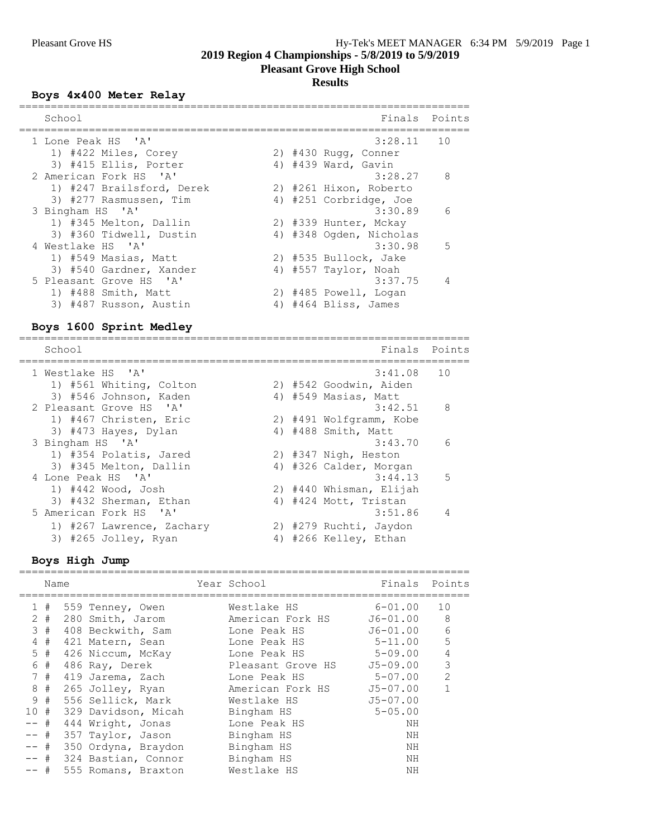# **Pleasant Grove High School**

# **Results**

# **Boys 4x400 Meter Relay**

| School                    | Finals<br>Points          |
|---------------------------|---------------------------|
| 1 Lone Peak HS 'A'        | $3:28.11$ 10              |
| 1) #422 Miles, Corey      | 2) $#430$ Rugg, Conner    |
| 3) #415 Ellis, Porter     | 4) #439 Ward, Gavin       |
| 2 American Fork HS 'A'    | 8<br>3:28.27              |
| 1) #247 Brailsford, Derek | 2) #261 Hixon, Roberto    |
| 3) #277 Rasmussen, Tim    | 4) #251 Corbridge, Joe    |
| 3 Bingham HS 'A'          | 3:30.89<br>6              |
| 1) #345 Melton, Dallin    | 2) #339 Hunter, Mckay     |
| 3) #360 Tidwell, Dustin   | 4) #348 Ogden, Nicholas   |
| 4 Westlake HS 'A'         | 3:30.98<br>$\overline{5}$ |
| 1) #549 Masias, Matt      | 2) #535 Bullock, Jake     |
| 3) #540 Gardner, Xander   | 4) #557 Taylor, Noah      |
| 5 Pleasant Grove HS 'A'   | $3:37.75$ 4               |
| 1) #488 Smith, Matt       | 2) #485 Powell, Logan     |
| 3) #487 Russon, Austin    | 4) #464 Bliss, James      |
|                           |                           |

# **Boys 1600 Sprint Medley**

| Points        |
|---------------|
| 10            |
|               |
|               |
| - 8           |
|               |
|               |
| 6             |
|               |
|               |
| -5<br>3:44.13 |
|               |
|               |
| 4             |
|               |
|               |
|               |

# **Boys High Jump**

|        | Name  |                     | Year School       | Finals         | Points         |
|--------|-------|---------------------|-------------------|----------------|----------------|
|        | 1#    | 559 Tenney, Owen    | Westlake HS       | $6 - 01.00$    | 10             |
|        | $2 +$ | 280 Smith, Jarom    | American Fork HS  | J6-01.00       | 8              |
|        | 3#    | 408 Beckwith, Sam   | Lone Peak HS      | J6-01.00       | 6              |
|        | 4#    | 421 Matern, Sean    | Lone Peak HS      | $5 - 11.00$    | 5              |
|        | 5#    | 426 Niccum, McKay   | Lone Peak HS      | 5-09.00        | $\overline{4}$ |
|        | 6#    | 486 Ray, Derek      | Pleasant Grove HS | J5-09.00       | 3              |
|        | 7#    | 419 Jarema, Zach    | Lone Peak HS      | $5 - 07.00$    | $\mathcal{L}$  |
|        | 8 #   | 265 Jolley, Ryan    | American Fork HS  | $J5 - 07.00$   |                |
|        | 9#    | 556 Sellick, Mark   | Westlake HS       | $J5 - 07.00$   |                |
| 10#    |       | 329 Davidson, Micah | Bingham HS        | $5 - 0.5$ , 00 |                |
| $--$ # |       | 444 Wright, Jonas   | Lone Peak HS      | ΝH             |                |
| $--$ # |       | 357 Taylor, Jason   | Bingham HS        | ΝH             |                |
| -- #   |       | 350 Ordyna, Braydon | Bingham HS        | NH             |                |
| -- #   |       | 324 Bastian, Connor | Bingham HS        | NH             |                |
| -- #   |       | 555 Romans, Braxton | Westlake HS       | ΝH             |                |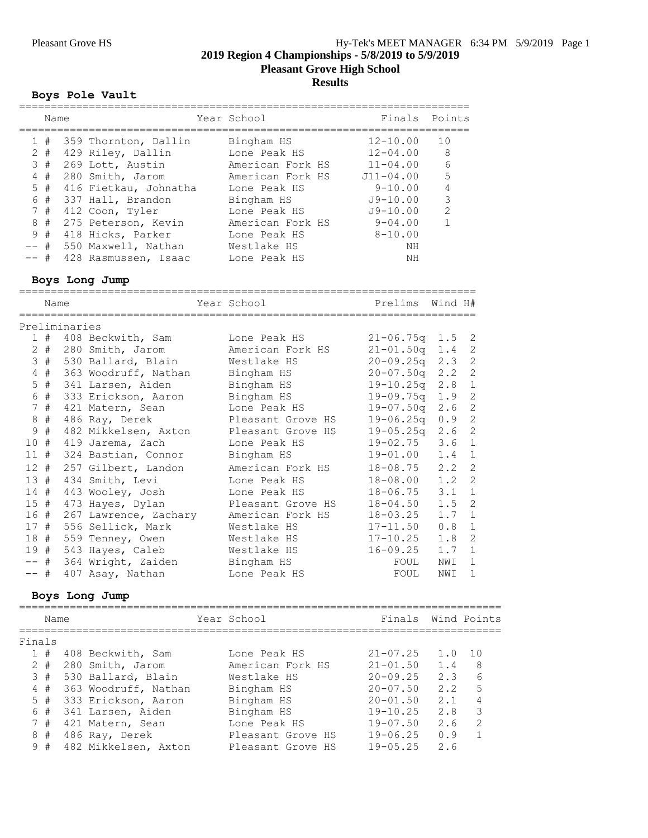**Pleasant Grove High School**

### **Results**

### **Boys Pole Vault**

|      | Name  |                       | Year School      |               | Finals Points  |
|------|-------|-----------------------|------------------|---------------|----------------|
|      | 1#    | 359 Thornton, Dallin  | Bingham HS       | $12 - 10.00$  | 1 O            |
|      | $2 +$ | 429 Riley, Dallin     | Lone Peak HS     | $12 - 04.00$  | - 8            |
|      | 3#    | 269 Lott, Austin      | American Fork HS | $11 - 04.00$  | - 6            |
| 4    | #     | 280 Smith, Jarom      | American Fork HS | $J11 - 04.00$ | 5              |
|      | 5#    | 416 Fietkau, Johnatha | Lone Peak HS     | $9 - 10.00$   | $\overline{4}$ |
|      | 6 #   | 337 Hall, Brandon     | Bingham HS       | $J9-10.00$    | 3              |
|      | 7#    | 412 Coon, Tyler       | Lone Peak HS     | $J9-10.00$    | $\mathcal{L}$  |
| 8    | #     | 275 Peterson, Kevin   | American Fork HS | $9 - 04.00$   |                |
|      | 9#    | 418 Hicks, Parker     | Lone Peak HS     | $8 - 10.00$   |                |
| -- # |       | 550 Maxwell, Nathan   | Westlake HS      | NΗ            |                |
| -- # |       | 428 Rasmussen, Isaac  | Lone Peak HS     | NH            |                |

### **Boys Long Jump**

|               | Name   |               |                                    | Year School                            | Prelims             | Wind H# |                |
|---------------|--------|---------------|------------------------------------|----------------------------------------|---------------------|---------|----------------|
|               |        | Preliminaries |                                    |                                        |                     |         |                |
|               |        |               | 1 # 408 Beckwith, Sam Lone Peak HS |                                        | $21 - 06.75q$ 1.5 2 |         |                |
|               |        |               | 2 # 280 Smith, Jarom               | American Fork HS                       | $21 - 01.50q$ 1.4   |         | 2              |
|               |        |               | 3 # 530 Ballard, Blain Westlake HS |                                        | $20 - 09.25q$ 2.3   |         | $\overline{c}$ |
|               | 4#     |               | 363 Woodruff, Nathan Bingham HS    |                                        | $20 - 07.50q$ 2.2   |         | $\overline{2}$ |
|               | $5$ #  |               | 341 Larsen, Aiden                  | Bingham HS                             | $19 - 10.25q$ 2.8   |         | $1\,$          |
|               | 6 #    |               | 333 Erickson, Aaron                | Bingham HS                             | $19 - 09.75q$ 1.9   |         | $\overline{c}$ |
|               | 7#     |               | 421 Matern, Sean                   | Lone Peak HS                           | $19 - 07.50q$ 2.6   |         | $\overline{2}$ |
| $\,8\,$       | #      |               | 486 Ray, Derek                     | Pleasant Grove HS                      | $19 - 06.25q$ 0.9   |         | $\overline{c}$ |
| $\mathcal{G}$ | #      |               |                                    | 482 Mikkelsen, Axton Pleasant Grove HS | $19 - 05.25q$ 2.6   |         | $\overline{2}$ |
|               |        |               | 10 # 419 Jarema, Zach              | Lone Peak HS                           | 19-02.75            | 3.6     | $\mathbf{1}$   |
| 11#           |        |               | 324 Bastian, Connor                | Bingham HS                             | $19 - 01.00$ 1.4    |         | $\mathbf{1}$   |
|               | $12 +$ |               | 257 Gilbert, Landon                | American Fork HS                       | $18 - 08.75$ 2.2    |         | $\overline{2}$ |
|               | 13#    |               | 434 Smith, Levi                    | Lone Peak HS                           | $18 - 08.00$ 1.2    |         | $\overline{2}$ |
|               | $14$ # |               | 443 Wooley, Josh                   | Lone Peak HS                           | $18 - 06.75$ 3.1    |         | $\mathbf{1}$   |
|               | 15#    |               |                                    | 473 Hayes, Dylan Bleasant Grove HS     | $18 - 04.50$ 1.5    |         | 2              |
|               | 16 #   |               |                                    | 267 Lawrence, Zachary Merican Fork HS  | 18-03.25            | 1.7     | $\mathbf{1}$   |
|               |        |               | 17 # 556 Sellick, Mark Westlake HS |                                        | $17 - 11.50$ 0.8    |         | $\mathbf{1}$   |
|               |        |               | 18 # 559 Tenney, Owen              | Westlake HS                            | $17 - 10.25$        | 1.8     | 2              |
|               |        |               | 19 # 543 Hayes, Caleb              | Westlake HS                            | $16 - 09.25$        | 1.7     | $\mathbf{1}$   |
|               |        |               | -- # 364 Wright, Zaiden Bingham HS |                                        | FOUL                | NWI     | $\mathbf{1}$   |
| $--$ #        |        |               | 407 Asay, Nathan                   | Lone Peak HS                           | FOUL                | NWI     | 1              |
|               |        |               | Boys Long Jump                     |                                        |                     |         |                |
|               | Name   |               |                                    | Year School                            | Finals              |         | Wind Points    |
| Finals        |        |               |                                    |                                        |                     |         |                |
|               |        |               | 1 # 408 Beckwith, Sam              | Lone Peak HS                           | $21 - 07.25$ 1.0 10 |         |                |
|               |        |               | 2 # 280 Smith, Jarom               | American Fork HS                       | $21 - 01.50$        | 1.4     | 8              |
|               | 3#     |               | 530 Ballard, Blain Mestlake HS     |                                        | $20 - 09.25$ 2.3 6  |         |                |

 3 # 530 Ballard, Blain Westlake HS 20-09.25 2.3 6 4 # 363 Woodruff, Nathan Bingham HS 20-07.50 2.2 5 5 # 333 Erickson, Aaron Bingham HS 20-01.50 2.1 4 6 # 341 Larsen, Aiden Bingham HS 19-10.25 2.8 3 7 # 421 Matern, Sean Lone Peak HS 19-07.50 2.6 2 8 # 486 Ray, Derek Pleasant Grove HS 19-06.25 0.9 1 9 # 482 Mikkelsen, Axton Pleasant Grove HS 19-05.25 2.6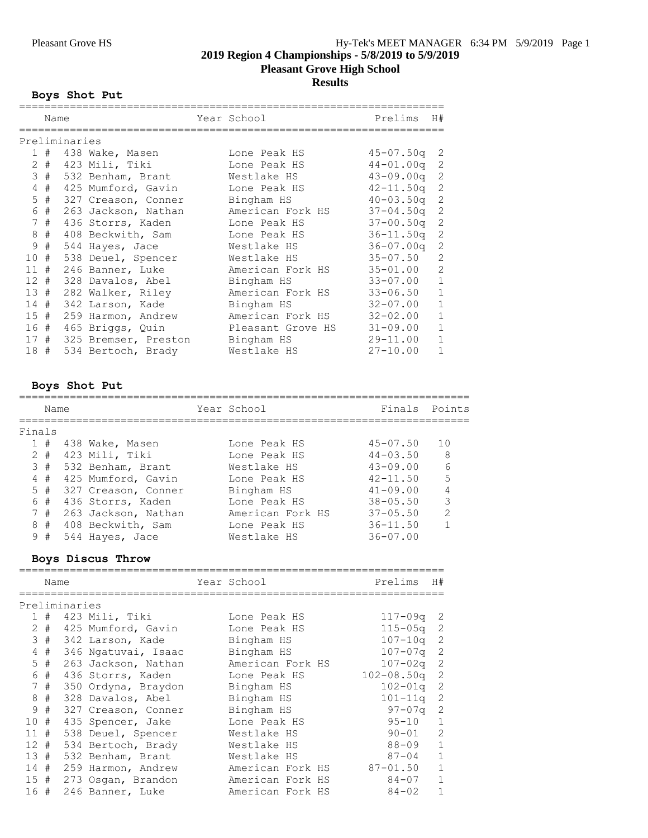# **2019 Region 4 Championships - 5/8/2019 to 5/9/2019 Pleasant Grove High School**

# **Results**

# **Boys Shot Put**

|                 | Name |               |                      | Year School       | Prelims       | H#             |
|-----------------|------|---------------|----------------------|-------------------|---------------|----------------|
|                 |      | Preliminaries | =================    |                   |               |                |
|                 | 1#   |               | 438 Wake, Masen      | Lone Peak HS      | 45-07.50q     | -2             |
| $\mathbf{2}$    | #    |               | 423 Mili, Tiki       | Lone Peak HS      | $44 - 01.00q$ | 2              |
| 3               | #    |               | 532 Benham, Brant    | Westlake HS       | $43 - 09.00q$ | $\overline{c}$ |
| 4               | #    |               | 425 Mumford, Gavin   | Lone Peak HS      | $42 - 11.50q$ | 2              |
| 5               | #    |               | 327 Creason, Conner  | Bingham HS        | $40 - 03.50q$ | 2              |
| 6               | $\#$ |               | 263 Jackson, Nathan  | American Fork HS  | $37 - 04.50q$ | $\overline{c}$ |
| 7               | #    |               | 436 Storrs, Kaden    | Lone Peak HS      | $37 - 00.50q$ | $\overline{2}$ |
| 8               | #    |               | 408 Beckwith, Sam    | Lone Peak HS      | $36 - 11.50q$ | $\overline{c}$ |
| 9               | #    |               | 544 Hayes, Jace      | Westlake HS       | $36 - 07.00q$ | $\overline{c}$ |
| 10              | #    |               | 538 Deuel, Spencer   | Westlake HS       | $35 - 07.50$  | $\mathbf{2}$   |
| 11#             |      |               | 246 Banner, Luke     | American Fork HS  | $35 - 01.00$  | $\overline{c}$ |
| 12 <sup>7</sup> | #    |               | 328 Davalos, Abel    | Bingham HS        | $33 - 07.00$  | $\mathbf{1}$   |
| 13#             |      |               | 282 Walker, Riley    | American Fork HS  | $33 - 06.50$  | $\mathbf{1}$   |
| 14#             |      |               | 342 Larson, Kade     | Bingham HS        | $32 - 07.00$  | $1\,$          |
| 15#             |      |               | 259 Harmon, Andrew   | American Fork HS  | $32 - 02.00$  | $\mathbf{1}$   |
| 16#             |      |               | 465 Briggs, Quin     | Pleasant Grove HS | $31 - 09.00$  | $\mathbf{1}$   |
| 17              | #    |               | 325 Bremser, Preston | Bingham HS        | $29 - 11.00$  | $\mathbf{1}$   |
| 18#             |      |               | 534 Bertoch, Brady   | Westlake HS       | $27 - 10.00$  | $\mathbf{1}$   |

# **Boys Shot Put**

|        | Name      |                     | Year School      | Finals Points |                 |
|--------|-----------|---------------------|------------------|---------------|-----------------|
| Finals |           |                     |                  |               |                 |
|        | 1#        | 438 Wake, Masen     | Lone Peak HS     | $45 - 07.50$  | 10              |
|        | $2 \pm 1$ | 423 Mili, Tiki      | Lone Peak HS     | $44 - 03.50$  | 8               |
|        | 3#        | 532 Benham, Brant   | Westlake HS      | $43 - 09.00$  | $6\overline{6}$ |
|        | 4#        | 425 Mumford, Gavin  | Lone Peak HS     | $42 - 11.50$  | 5               |
|        | $5$ #     | 327 Creason, Conner | Bingham HS       | $41 - 09.00$  | 4               |
|        | 6#        | 436 Storrs, Kaden   | Lone Peak HS     | $38 - 05.50$  | 3               |
|        | 7#        | 263 Jackson, Nathan | American Fork HS | $37 - 05.50$  | $\mathcal{P}$   |
|        | 8#        | 408 Beckwith, Sam   | Lone Peak HS     | $36 - 11.50$  |                 |
| 9      | #         | 544 Hayes, Jace     | Westlake HS      | $36 - 07.00$  |                 |
|        |           |                     |                  |               |                 |

# **Boys Discus Throw**

|                 | Name  |               |                     | Year School      | Prelims         | H#           |
|-----------------|-------|---------------|---------------------|------------------|-----------------|--------------|
|                 |       |               |                     |                  |                 |              |
|                 |       | Preliminaries |                     |                  |                 |              |
| $\mathbf{1}$    | #     |               | 423 Mili, Tiki      | Lone Peak HS     | $117 - 09q$     | -2           |
| $\mathbf{2}$    | #     |               | 425 Mumford, Gavin  | Lone Peak HS     | 115-05a         | 2            |
| 3               | #     |               | 342 Larson, Kade    | Bingham HS       | $107 - 10q$ 2   |              |
| $\overline{4}$  | #     |               | 346 Ngatuvai, Isaac | Bingham HS       | 107-07q         | 2            |
|                 | $5$ # |               | 263 Jackson, Nathan | American Fork HS | 107-02q         | 2            |
| 6               | #     |               | 436 Storrs, Kaden   | Lone Peak HS     | $102 - 08.50$ q | 2            |
| $7^{\circ}$     | #     |               | 350 Ordyna, Braydon | Bingham HS       | $102 - 01q$     | -2           |
| 8               | #     |               | 328 Davalos, Abel   | Bingham HS       | $101 - 11q$     | 2            |
| 9               | #     |               | 327 Creason, Conner | Bingham HS       | 97-07a          | 2            |
| 10 <sup>°</sup> | #     |               | 435 Spencer, Jake   | Lone Peak HS     | $95 - 10$       | $\mathbf{1}$ |
| 11              | #     |               | 538 Deuel, Spencer  | Westlake HS      | $90 - 01$       | 2            |
| 12 <sup>7</sup> | #     |               | 534 Bertoch, Brady  | Westlake HS      | 88-09           | $\mathbf{1}$ |
| 13              | #     |               | 532 Benham, Brant   | Westlake HS      | $87 - 04$       | $\mathbf{1}$ |
| 14#             |       |               | 259 Harmon, Andrew  | American Fork HS | $87 - 01.50$    | $\mathbf{1}$ |
|                 | 15#   |               | 273 Osgan, Brandon  | American Fork HS | 84-07           | $\mathbf{1}$ |
| 16 #            |       |               | 246 Banner, Luke    | American Fork HS | $84 - 02$       | $\mathbf{1}$ |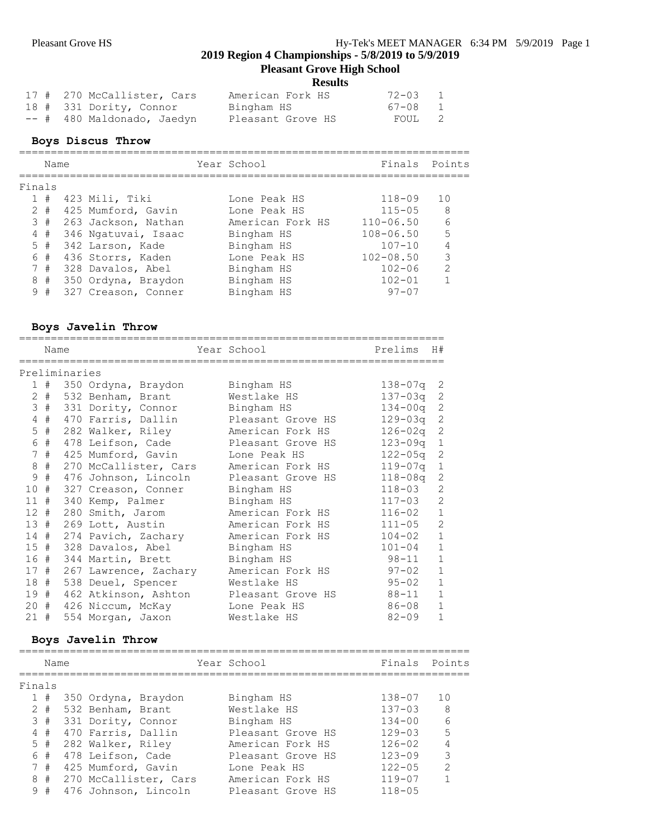# **Pleasant Grove High School**

**Results**

|  | 17 # 270 McCallister, Cars | American Fork HS  | $72 - 03$   | $\overline{1}$ |
|--|----------------------------|-------------------|-------------|----------------|
|  | 18 # 331 Dority, Connor    | Bingham HS        | $67 - 08$ 1 |                |
|  | -- # 480 Maldonado, Jaedyn | Pleasant Grove HS | FOUL 2      |                |

# **Boys Discus Throw**

|        | Name    |                     | Year School      |               | Finals Points  |
|--------|---------|---------------------|------------------|---------------|----------------|
| Finals |         |                     |                  |               |                |
|        | 1#      | 423 Mili, Tiki      | Lone Peak HS     | $118 - 09$    | 10             |
|        | $2 \pm$ | 425 Mumford, Gavin  | Lone Peak HS     | $115 - 05$    | - 8            |
|        | 3#      | 263 Jackson, Nathan | American Fork HS | $110 - 06.50$ | 6              |
|        | 4#      | 346 Ngatuvai, Isaac | Bingham HS       | $108 - 06.50$ | 5              |
|        | 5#      | 342 Larson, Kade    | Bingham HS       | $107 - 10$    | $\overline{4}$ |
|        | 6 #     | 436 Storrs, Kaden   | Lone Peak HS     | $102 - 08.50$ | 3              |
|        | 7#      | 328 Davalos, Abel   | Bingham HS       | $102 - 06$    | $\mathcal{L}$  |
| 8      | #       | 350 Ordyna, Braydon | Bingham HS       | $102 - 01$    | 1              |
|        | 9#      | 327 Creason, Conner | Bingham HS       | $97 - 07$     |                |

# **Boys Javelin Throw**

|                 | Name        |               |                       | Year School       | Prelims     | H#             |
|-----------------|-------------|---------------|-----------------------|-------------------|-------------|----------------|
|                 |             | Preliminaries |                       |                   |             |                |
|                 |             |               |                       |                   |             |                |
| $\mathbf{1}$    | #           |               | 350 Ordyna, Braydon   | Bingham HS        | 138-07q     | -2             |
| $\overline{2}$  | #           |               | 532 Benham, Brant     | Westlake HS       | 137-03q     | 2              |
| 3               | #           |               | 331 Dority, Connor    | Bingham HS        | $134 - 00q$ | 2              |
| 4               | #           |               | 470 Farris, Dallin    | Pleasant Grove HS | 129-03q     | 2              |
| 5               | $\#$        |               | 282 Walker, Riley     | American Fork HS  | $126 - 02q$ | 2              |
| 6               | #           |               | 478 Leifson, Cade     | Pleasant Grove HS | $123 - 09q$ | $\mathbf{1}$   |
| 7               | $_{\rm \#}$ |               | 425 Mumford, Gavin    | Lone Peak HS      | $122 - 05q$ | 2              |
| 8               | $_{\rm \#}$ |               | 270 McCallister, Cars | American Fork HS  | $119 - 07q$ | $\mathbf{1}$   |
| 9               | #           |               | 476 Johnson, Lincoln  | Pleasant Grove HS | $118 - 08q$ | $\overline{c}$ |
| 10              | #           |               | 327 Creason, Conner   | Bingham HS        | $118 - 03$  | $\overline{2}$ |
| 11              | #           |               | 340 Kemp, Palmer      | Bingham HS        | $117 - 03$  | $\overline{2}$ |
| 12 <sup>7</sup> | #           |               | 280 Smith, Jarom      | American Fork HS  | $116 - 02$  | $\mathbf{1}$   |
| 13#             |             |               | 269 Lott, Austin      | American Fork HS  | $111 - 05$  | $\overline{2}$ |
| 14              | #           |               | 274 Pavich, Zachary   | American Fork HS  | $104 - 02$  | $\mathbf{1}$   |
| 15#             |             |               | 328 Davalos, Abel     | Bingham HS        | $101 - 04$  | $\mathbf{1}$   |
| 16              | #           |               | 344 Martin, Brett     | Bingham HS        | $98 - 11$   | $\mathbf{1}$   |
| 17              | #           |               | 267 Lawrence, Zachary | American Fork HS  | $97 - 02$   | $\mathbf{1}$   |
| 18              | #           |               | 538 Deuel, Spencer    | Westlake HS       | $95 - 02$   | $\mathbf{1}$   |
| 19              | #           |               | 462 Atkinson, Ashton  | Pleasant Grove HS | $88 - 11$   | $\mathbf{1}$   |
| 20              | #           |               | 426 Niccum, McKay     | Lone Peak HS      | $86 - 08$   | $\mathbf{1}$   |
| 21              | #           |               | 554 Morgan, Jaxon     | Westlake HS       | $82 - 09$   | $\mathbf{1}$   |

# **Boys Javelin Throw**

|        | Name  |                     |                       | Year School       |            | Finals Points  |
|--------|-------|---------------------|-----------------------|-------------------|------------|----------------|
| Finals |       |                     |                       |                   |            |                |
|        | 1#    | 350 Ordyna, Braydon |                       | Bingham HS        | 138-07     | 1 O            |
|        | $2 +$ | 532 Benham, Brant   |                       | Westlake HS       | $137 - 03$ | 8              |
|        | 3#    | 331 Dority, Connor  |                       | Bingham HS        | $134 - 00$ | 6              |
|        | 4#    | 470 Farris, Dallin  |                       | Pleasant Grove HS | $129 - 03$ | 5              |
|        | 5#    | 282 Walker, Riley   |                       | American Fork HS  | $126 - 02$ | $\overline{4}$ |
|        | 6#    | 478 Leifson, Cade   |                       | Pleasant Grove HS | $123 - 09$ | 3              |
|        | 7#    | 425 Mumford, Gavin  |                       | Lone Peak HS      | $122 - 05$ | $\mathcal{L}$  |
| 8      | #     |                     | 270 McCallister, Cars | American Fork HS  | $119 - 07$ |                |
|        | 9#    |                     | 476 Johnson, Lincoln  | Pleasant Grove HS | $118 - 05$ |                |
|        |       |                     |                       |                   |            |                |